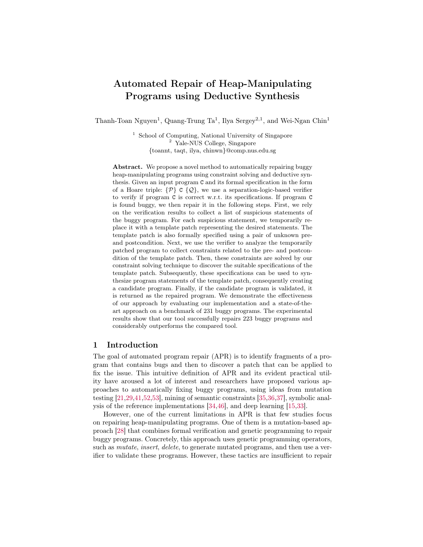# Automated Repair of Heap-Manipulating Programs using Deductive Synthesis

Thanh-Toan Nguyen<sup>1</sup>, Quang-Trung Ta<sup>1</sup>, Ilya Sergey<sup>2,1</sup>, and Wei-Ngan Chin<sup>1</sup>

<sup>1</sup> School of Computing, National University of Singapore <sup>2</sup> Yale-NUS College, Singapore {toannt, taqt, ilya, chinwn}@comp.nus.edu.sg

Abstract. We propose a novel method to automatically repairing buggy heap-manipulating programs using constraint solving and deductive synthesis. Given an input program C and its formal specification in the form of a Hoare triple:  $\{\mathcal{P}\}\subset \{\mathcal{Q}\}\$ , we use a separation-logic-based verifier to verify if program C is correct w.r.t. its specifications. If program C is found buggy, we then repair it in the following steps. First, we rely on the verification results to collect a list of suspicious statements of the buggy program. For each suspicious statement, we temporarily replace it with a template patch representing the desired statements. The template patch is also formally specified using a pair of unknown preand postcondition. Next, we use the verifier to analyze the temporarily patched program to collect constraints related to the pre- and postcondition of the template patch. Then, these constraints are solved by our constraint solving technique to discover the suitable specifications of the template patch. Subsequently, these specifications can be used to synthesize program statements of the template patch, consequently creating a candidate program. Finally, if the candidate program is validated, it is returned as the repaired program. We demonstrate the effectiveness of our approach by evaluating our implementation and a state-of-theart approach on a benchmark of 231 buggy programs. The experimental results show that our tool successfully repairs 223 buggy programs and considerably outperforms the compared tool.

# <span id="page-0-0"></span>1 Introduction

The goal of automated program repair (APR) is to identify fragments of a program that contains bugs and then to discover a patch that can be applied to fix the issue. This intuitive definition of APR and its evident practical utility have aroused a lot of interest and researchers have proposed various approaches to automatically fixing buggy programs, using ideas from mutation testing [\[21](#page-21-0)[,29,](#page-22-0)[41,](#page-22-1)[52,](#page-23-0)[53\]](#page-23-1), mining of semantic constraints [\[35,](#page-22-2)[36,](#page-22-3)[37\]](#page-22-4), symbolic analysis of the reference implementations [\[34,](#page-22-5)[46\]](#page-23-2), and deep learning [\[15,](#page-21-1)[33\]](#page-22-6).

However, one of the current limitations in APR is that few studies focus on repairing heap-manipulating programs. One of them is a mutation-based approach [\[28\]](#page-21-2) that combines formal verification and genetic programming to repair buggy programs. Concretely, this approach uses genetic programming operators, such as *mutate*, *insert*, *delete*, to generate mutated programs, and then use a verifier to validate these programs. However, these tactics are insufficient to repair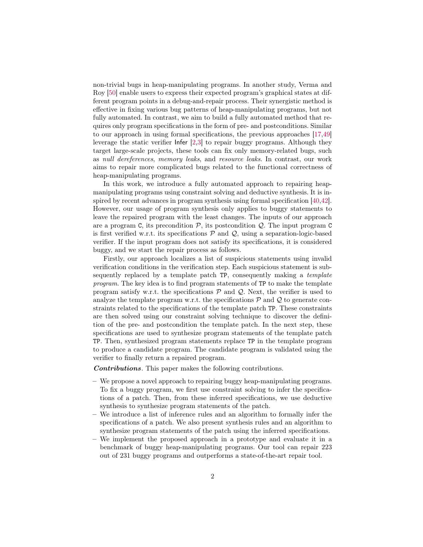non-trivial bugs in heap-manipulating programs. In another study, Verma and Roy [\[50\]](#page-23-3) enable users to express their expected program's graphical states at different program points in a debug-and-repair process. Their synergistic method is effective in fixing various bug patterns of heap-manipulating programs, but not fully automated. In contrast, we aim to build a fully automated method that requires only program specifications in the form of pre- and postconditions. Similar to our approach in using formal specifications, the previous approaches [\[17,](#page-21-3)[49\]](#page-23-4) leverage the static verifier Infer [\[2](#page-20-0)[,3\]](#page-20-1) to repair buggy programs. Although they target large-scale projects, these tools can fix only memory-related bugs, such as null dereferences, memory leaks, and resource leaks. In contrast, our work aims to repair more complicated bugs related to the functional correctness of heap-manipulating programs.

In this work, we introduce a fully automated approach to repairing heapmanipulating programs using constraint solving and deductive synthesis. It is inspired by recent advances in program synthesis using formal specification [\[40,](#page-22-7)[42\]](#page-22-8). However, our usage of program synthesis only applies to buggy statements to leave the repaired program with the least changes. The inputs of our approach are a program C, its precondition  $P$ , its postcondition  $Q$ . The input program C is first verified w.r.t. its specifications  $\mathcal{P}$  and  $\mathcal{Q}$ , using a separation-logic-based verifier. If the input program does not satisfy its specifications, it is considered buggy, and we start the repair process as follows.

Firstly, our approach localizes a list of suspicious statements using invalid verification conditions in the verification step. Each suspicious statement is subsequently replaced by a template patch TP, consequently making a template program. The key idea is to find program statements of TP to make the template program satisfy w.r.t. the specifications  $P$  and  $Q$ . Next, the verifier is used to analyze the template program w.r.t. the specifications  $P$  and  $Q$  to generate constraints related to the specifications of the template patch TP. These constraints are then solved using our constraint solving technique to discover the definition of the pre- and postcondition the template patch. In the next step, these specifications are used to synthesize program statements of the template patch TP. Then, synthesized program statements replace TP in the template program to produce a candidate program. The candidate program is validated using the verifier to finally return a repaired program.

Contributions. This paper makes the following contributions.

- We propose a novel approach to repairing buggy heap-manipulating programs. To fix a buggy program, we first use constraint solving to infer the specifications of a patch. Then, from these inferred specifications, we use deductive synthesis to synthesize program statements of the patch.
- We introduce a list of inference rules and an algorithm to formally infer the specifications of a patch. We also present synthesis rules and an algorithm to synthesize program statements of the patch using the inferred specifications.
- We implement the proposed approach in a prototype and evaluate it in a benchmark of buggy heap-manipulating programs. Our tool can repair 223 out of 231 buggy programs and outperforms a state-of-the-art repair tool.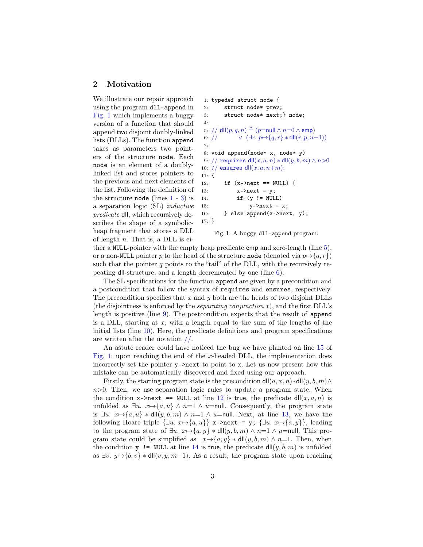# <span id="page-2-1"></span>2 Motivation

We illustrate our repair approach using the program dll-append in [Fig. 1](#page-2-0) which implements a buggy version of a function that should append two disjoint doubly-linked lists (DLLs). The function append takes as parameters two pointers of the structure node. Each node is an element of a doublylinked list and stores pointers to the previous and next elements of the list. Following the definition of the structure node (lines  $1 - 3$  $1 - 3$ ) is a separation logic (SL) inductive predicate dll, which recursively describes the shape of a symbolicheap fragment that stores a DLL of length  $n$ . That is, a DLL is ei-

```
1: typedef struct node {
2: struct node* prev;
3: struct node* next;} node;
4:
5: // dll(p, q, n) \triangleq (p=null \land n=0 \landemp)
6: // \forall (\exists r. p \mapsto \{q, r\} * d\mathsf{II}(r, p, n-1))7:
8: void append(node* x, node* y)
9: // requires dll(x, a, n) * dll(y, b, m) \wedge n > 010: // ensures dH(x, a, n+m);
11: {
12: if (x-)next == NULL) {
13: x->next = y;
14: if (y != NULL)
15: y->next = x;
16: } else append(x->next, y);
17: }
```


ther a NULL-pointer with the empty heap predicate emp and zero-length (line [5\)](#page-2-0), or a non-NULL pointer p to the head of the structure node (denoted via  $p \rightarrow \{q, r\}$ ) such that the pointer q points to the "tail" of the DLL, with the recursively repeating dll-structure, and a length decremented by one (line [6\)](#page-2-0).

The SL specifications for the function append are given by a precondition and a postcondition that follow the syntax of requires and ensures, respectively. The precondition specifies that  $x$  and  $y$  both are the heads of two disjoint DLLs (the disjointness is enforced by the separating conjunction ∗), and the first DLL's length is positive (line [9\)](#page-2-0). The postcondition expects that the result of append is a DLL, starting at  $x$ , with a length equal to the sum of the lengths of the initial lists (line [10\)](#page-2-0). Here, the predicate definitions and program specifications are written after the notation //.

An astute reader could have noticed the bug we have planted on line [15](#page-2-0) of [Fig. 1:](#page-2-0) upon reaching the end of the x-headed DLL, the implementation does incorrectly set the pointer y->next to point to x. Let us now present how this mistake can be automatically discovered and fixed using our approach.

Firstly, the starting program state is the precondition  $d\mathcal{H}(a, x, n) * d\mathcal{H}(y, b, m) \wedge$  $n>0$ . Then, we use separation logic rules to update a program state. When the condition x- $\lambda$ next == NULL at line [12](#page-2-0) is true, the predicate dll $(x, a, n)$  is unfolded as  $\exists u. x \mapsto \{a, u\} \land n=1 \land u=$ null. Consequently, the program state is  $\exists u. x \mapsto \{a, u\} * \text{dll}(y, b, m) \land n = 1 \land u = \text{null}$ . Next, at line [13,](#page-2-0) we have the following Hoare triple  $\{\exists u. x \mapsto \{a, u\}\}\;$ x->next = y;  $\{\exists u. x \mapsto \{a, y\}\}\;$  leading to the program state of  $\exists u$ .  $x \mapsto \{a, y\} *$  dll $(y, b, m) \wedge n = 1 \wedge u =$ null. This program state could be simplified as  $x \mapsto \{a, y\} * d\mathsf{II}(y, b, m) \wedge n=1$ . Then, when the condition y != NULL at line [14](#page-2-0) is true, the predicate  $\text{d} \mathsf{II}(y, b, m)$  is unfolded as  $\exists v. y \mapsto \{b, v\} * \text{dll}(v, y, m-1)$ . As a result, the program state upon reaching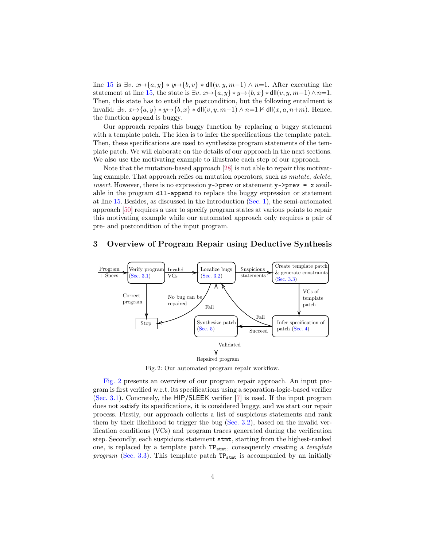line [15](#page-2-0) is  $\exists v. x \mapsto \{a, y\} * y \mapsto \{b, v\} * dll(v, y, m-1) \wedge n=1$ . After executing the statement at line [15,](#page-2-0) the state is  $\exists v. x \mapsto \{a, y\} * y \mapsto \{b, x\} * dll(v, y, m-1) \wedge n=1$ . Then, this state has to entail the postcondition, but the following entailment is invalid:  $\exists v. x \mapsto \{a, y\} * y \mapsto \{b, x\} * dll(v, y, m-1) \land n=1 \nvdash dll(x, a, n+m)$ . Hence, the function append is buggy.

Our approach repairs this buggy function by replacing a buggy statement with a template patch. The idea is to infer the specifications the template patch. Then, these specifications are used to synthesize program statements of the template patch. We will elaborate on the details of our approach in the next sections. We also use the motivating example to illustrate each step of our approach.

Note that the mutation-based approach [\[28\]](#page-21-2) is not able to repair this motivating example. That approach relies on mutation operators, such as mutate, delete, *insert*. However, there is no expression  $y$ ->prev or statement  $y$ ->prev = x available in the program dll-append to replace the buggy expression or statement at line [15.](#page-2-0) Besides, as discussed in the Introduction [\(Sec. 1\)](#page-0-0), the semi-automated approach [\[50\]](#page-23-3) requires a user to specify program states at various points to repair this motivating example while our automated approach only requires a pair of pre- and postcondition of the input program.

#### <span id="page-3-0"></span>Verify program [\(Sec. 3.1\)](#page-4-0) Create template patch & generate constraints [\(Sec. 3.3\)](#page-6-0) Synthesize patch [\(Sec. 5\)](#page-11-0) Infer specification of patch (S[ec. 4\)](#page-7-0) Suspicious statements Program + Specs Localize bugs [\(Sec. 3.2\)](#page-5-0) Invalid VCs Repaired program Validated Succeed Fail VCs of template patch Fail No bug can b repaired Stop Correct program

## <span id="page-3-1"></span>3 Overview of Program Repair using Deductive Synthesis

Fig. 2: Our automated program repair workflow.

[Fig. 2](#page-3-0) presents an overview of our program repair approach. An input program is first verified w.r.t. its specifications using a separation-logic-based verifier [\(Sec. 3.1\)](#page-4-0). Concretely, the HIP/SLEEK verifier [\[7\]](#page-20-2) is used. If the input program does not satisfy its specifications, it is considered buggy, and we start our repair process. Firstly, our approach collects a list of suspicious statements and rank them by their likelihood to trigger the bug [\(Sec. 3.2\)](#page-5-0), based on the invalid verification conditions (VCs) and program traces generated during the verification step. Secondly, each suspicious statement stmt, starting from the highest-ranked one, is replaced by a template patch  $TP_{\text{stmt}}$ , consequently creating a template program [\(Sec. 3.3\)](#page-6-0). This template patch  $TP_{\text{stmt}}$  is accompanied by an initially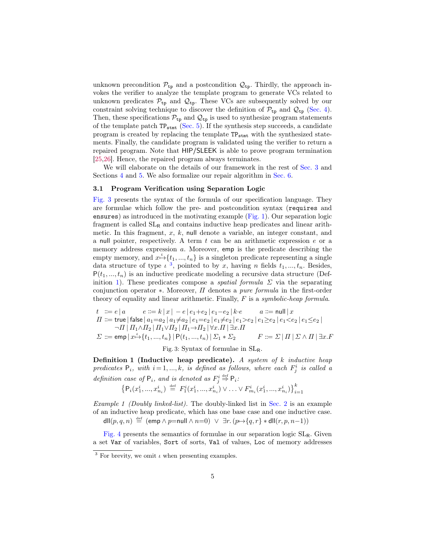unknown precondition  $\mathcal{P}_{tp}$  and a postcondition  $\mathcal{Q}_{tp}$ . Thirdly, the approach invokes the verifier to analyze the template program to generate VCs related to unknown predicates  $\mathcal{P}_{tp}$  and  $\mathcal{Q}_{tp}$ . These VCs are subsequently solved by our constraint solving technique to discover the definition of  $\mathcal{P}_{tp}$  and  $\mathcal{Q}_{tp}$  [\(Sec. 4\)](#page-7-0). Then, these specifications  $\mathcal{P}_{tp}$  and  $\mathcal{Q}_{tp}$  is used to synthesize program statements of the template patch  $TP_{\text{stmt}}$  [\(Sec. 5\)](#page-11-0). If the synthesis step succeeds, a candidate program is created by replacing the template  $TP_{\text{stmt}}$  with the synthesized statements. Finally, the candidate program is validated using the verifier to return a repaired program. Note that HIP/SLEEK is able to prove program termination [\[25](#page-21-4)[,26\]](#page-21-5). Hence, the repaired program always terminates.

We will elaborate on the details of our framework in the rest of [Sec. 3](#page-3-1) and Sections [4](#page-7-0) and [5.](#page-11-0) We also formalize our repair algorithm in [Sec. 6.](#page-14-0)

#### <span id="page-4-0"></span>3.1 Program Verification using Separation Logic

[Fig. 3](#page-4-1) presents the syntax of the formula of our specification language. They are formulae which follow the pre- and postcondition syntax (requires and ensures) as introduced in the motivating example [\(Fig. 1\)](#page-2-0). Our separation logic fragment is called  $SL_R$  and contains inductive heap predicates and linear arithmetic. In this fragment,  $x$ ,  $k$ , null denote a variable, an integer constant, and a null pointer, respectively. A term  $t$  can be an arithmetic expression  $e$  or a memory address expression a. Moreover, emp is the predicate describing the empty memory, and  $x \stackrel{\iota}{\mapsto} \{t_1, ..., t_n\}$  is a singleton predicate representing a single data structure of type  $\iota^3$  $\iota^3$ , pointed to by x, having n fields  $t_1, ..., t_n$ . Besides,  $P(t_1, ..., t_n)$  is an inductive predicate modeling a recursive data structure (Def-inition [1\)](#page-4-3). These predicates compose a *spatial formula*  $\Sigma$  via the separating conjunction operator  $\ast$ . Moreover,  $\Pi$  denotes a *pure formula* in the first-order theory of equality and linear arithmetic. Finally,  $F$  is a symbolic-heap formula.

<span id="page-4-1"></span>
$$
t \quad ::= e | a \qquad e ::= k | x | - e | e_1 + e_2 | e_1 - e_2 | k \cdot e \qquad a ::= null | x
$$
\n
$$
\Pi := \text{true} | \text{false} | a_1 = a_2 | a_1 \neq a_2 | e_1 = e_2 | e_1 \neq e_2 | e_1 > e_2 | e_1 \geq e_2 | e_1 < e_2 | e_1 \leq e_2 |
$$
\n
$$
\neg \Pi | \Pi_1 \wedge \Pi_2 | \Pi_1 \vee \Pi_2 | \Pi_1 \rightarrow \Pi_2 | \forall x . \Pi | \exists x . \Pi
$$
\n
$$
\Sigma := \text{emp} | x^{\mu} \rightarrow \{t_1, ..., t_n\} | P(t_1, ..., t_n) | \Sigma_1 * \Sigma_2 \qquad F := \Sigma | \Pi | \Sigma \wedge \Pi | \exists x . F
$$

Fig. 3: Syntax of formulae in SLR.

<span id="page-4-3"></span>Definition 1 (Inductive heap predicate). A system of  $k$  inductive heap predicates  $P_i$ , with  $i = 1, ..., k$ , is defined as follows, where each  $F_j^i$  is called a definition case of  $P_i$ , and is denoted as  $F_j^i \stackrel{\text{def}}{\Rightarrow} P_i$ :

$$
\left\{ \mathsf{P}_i(x_1^i,...,x_{n_i}^i) \stackrel{\text{def}}{=} F_1^i(x_1^i,...,x_{n_i}^i) \lor ... \lor F_{m_i}^i(x_1^i,...,x_{n_i}^i) \right\}_{i=1}^k
$$

Example 1 (Doubly linked-list). The doubly-linked list in [Sec. 2](#page-2-1) is an example of an inductive heap predicate, which has one base case and one inductive case.

dll $(p, q, n) \stackrel{\text{def}}{=}$   $(\textsf{emp} \land p=\textsf{null} \land n=0)$   $\lor \exists r. (p \mapsto \{q, r\} * \textsf{dll}(r, p, n-1))$ 

[Fig. 4](#page-5-1) presents the semantics of formulae in our separation logic  $SL<sub>R</sub>$ . Given a set Var of variables, Sort of sorts, Val of values, Loc of memory addresses

<span id="page-4-2"></span><sup>&</sup>lt;sup>3</sup> For brevity, we omit  $\iota$  when presenting examples.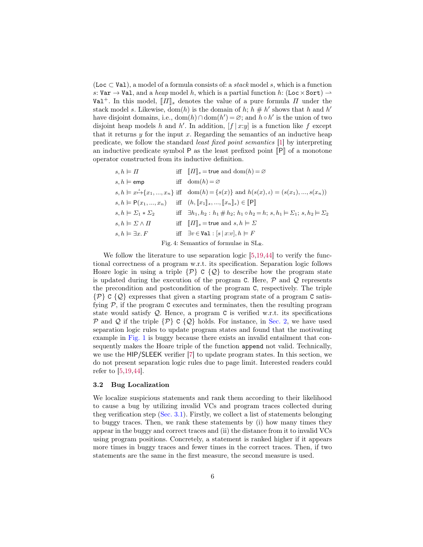(Loc  $\subset$  Val), a model of a formula consists of: a *stack* model s, which is a function s: Var  $\rightarrow$  Val, and a heap model h, which is a partial function h: (Loc  $\times$  Sort)  $\rightarrow$ Val<sup>+</sup>. In this model,  $\llbracket \Pi \rrbracket_s$  denotes the value of a pure formula  $\Pi$  under the stack model s. Likewise, dom(h) is the domain of h;  $h \# h'$  shows that h and h' have disjoint domains, i.e.,  $dom(h) \cap dom(h') = \emptyset$ ; and  $h \circ h'$  is the union of two disjoint heap models h and h'. In addition,  $[f | x:y]$  is a function like f except that it returns  $y$  for the input x. Regarding the semantics of an inductive heap predicate, we follow the standard least fixed point semantics [\[1\]](#page-20-3) by interpreting an inductive predicate symbol  $P$  as the least prefixed point  $\llbracket P \rrbracket$  of a monotone operator constructed from its inductive definition.

<span id="page-5-1"></span>
$$
s, h \models \Pi \quad \text{iff} \quad [\![\Pi]\!]_s = \text{true} \text{ and } \text{dom}(h) = \varnothing
$$
\n
$$
s, h \models \text{emp} \quad \text{iff} \quad \text{dom}(h) = \varnothing
$$
\n
$$
s, h \models x \xrightarrow{\iota} \{x_1, \ldots, x_n\} \text{ iff} \quad \text{dom}(h) = \{s(x)\} \text{ and } h(s(x), \iota) = (s(x_1), \ldots, s(x_n))
$$
\n
$$
s, h \models \mathsf{P}(x_1, \ldots, x_n) \quad \text{iff} \quad (h, [\![x_1]\!]_s, \ldots, [\![x_n]\!]_s) \in [\![\mathsf{P}]\!]
$$
\n
$$
s, h \models \Sigma_1 * \Sigma_2 \quad \text{iff} \quad \exists h_1, h_2 : h_1 \neq h_2; h_1 \circ h_2 = h; \, s, h_1 \models \Sigma_1; \, s, h_2 \models \Sigma_2
$$
\n
$$
s, h \models \Sigma \land \Pi \quad \text{iff} \quad [\![\![\Pi]\!]_s = \text{true} \text{ and } s, h \models \Sigma
$$
\n
$$
s, h \models \exists x. F \quad \text{iff} \quad \exists v \in \text{Val} : [s \mid x : v], h \models F
$$
\n
$$
\text{Fig. 4: Semantics of formulae in SLR.}
$$

We follow the literature to use separation logic [\[5](#page-20-4)[,19,](#page-21-6)[44\]](#page-22-9) to verify the functional correctness of a program w.r.t. its specification. Separation logic follows Hoare logic in using a triple  $\{\mathcal{P}\}\subset\{\mathcal{Q}\}\$  to describe how the program state is updated during the execution of the program  $\mathsf{C}$ . Here,  $\mathcal{P}$  and  $\mathcal{Q}$  represents the precondition and postcondition of the program C, respectively. The triple  $\{\mathcal{P}\}\subset\{\mathcal{Q}\}\$ expresses that given a starting program state of a program C satisfying  $P$ , if the program C executes and terminates, then the resulting program state would satisfy  $Q$ . Hence, a program C is verified w.r.t. its specifications P and Q if the triple  $\{\mathcal{P}\}\subset\{\mathcal{Q}\}\$  holds. For instance, in [Sec. 2,](#page-2-1) we have used separation logic rules to update program states and found that the motivating example in [Fig. 1](#page-2-0) is buggy because there exists an invalid entailment that consequently makes the Hoare triple of the function append not valid. Technically, we use the HIP/SLEEK verifier [\[7\]](#page-20-2) to update program states. In this section, we do not present separation logic rules due to page limit. Interested readers could refer to [\[5](#page-20-4)[,19](#page-21-6)[,44\]](#page-22-9).

#### <span id="page-5-0"></span>3.2 Bug Localization

We localize suspicious statements and rank them according to their likelihood to cause a bug by utilizing invalid VCs and program traces collected during theg verification step [\(Sec. 3.1\)](#page-4-0). Firstly, we collect a list of statements belonging to buggy traces. Then, we rank these statements by (i) how many times they appear in the buggy and correct traces and (ii) the distance from it to invalid VCs using program positions. Concretely, a statement is ranked higher if it appears more times in buggy traces and fewer times in the correct traces. Then, if two statements are the same in the first measure, the second measure is used.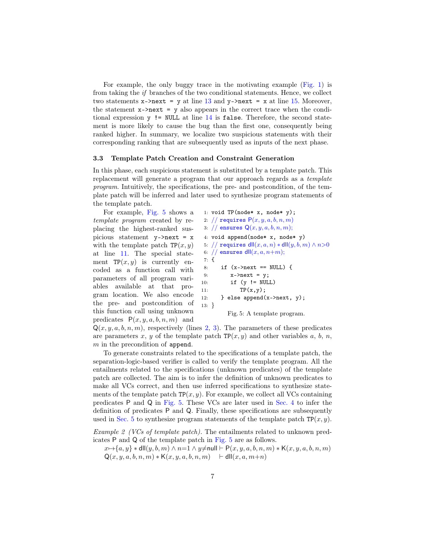For example, the only buggy trace in the motivating example [\(Fig. 1\)](#page-2-0) is from taking the if branches of the two conditional statements. Hence, we collect two statements  $x$ ->next = y at line [13](#page-2-0) and  $y$ ->next = x at line [15.](#page-2-0) Moreover, the statement  $x$ ->next = y also appears in the correct trace when the conditional expression  $y$  != NULL at line [14](#page-2-0) is false. Therefore, the second statement is more likely to cause the bug than the first one, consequently being ranked higher. In summary, we localize two suspicious statements with their corresponding ranking that are subsequently used as inputs of the next phase.

#### <span id="page-6-0"></span>3.3 Template Patch Creation and Constraint Generation

In this phase, each suspicious statement is substituted by a template patch. This replacement will generate a program that our approach regards as a template program. Intuitively, the specifications, the pre- and postcondition, of the template patch will be inferred and later used to synthesize program statements of the template patch.

For example, [Fig. 5](#page-6-1) shows a template program created by replacing the highest-ranked suspicious statement y->next = x with the template patch  $TP(x, y)$ at line [11.](#page-6-1) The special statement  $TP(x, y)$  is currently encoded as a function call with parameters of all program variables available at that program location. We also encode the pre- and postcondition of this function call using unknown predicates  $P(x, y, a, b, n, m)$  and

<span id="page-6-1"></span>1: void  $TP(node * x, node * y)$ ; 2: // requires  $P(x, y, a, b, n, m)$ 3: // ensures  $Q(x, y, a, b, n, m)$ ; 4: void append(node\* x, node\* y) 5: // requires dll $(x, a, n) *$  dll $(y, b, m) \wedge n > 0$ 6: // ensures  $\text{d} \mathsf{II}(x, a, n+m);$ 7: { 8: if  $(x-)next == NULL)$  { 9:  $x$ ->next = y; 10:  $if (y != NULL)$ 11:  $TP(x, y)$ ; 12:  $}$  else append(x->next, y); 13: } Fig. 5: A template program.

 $Q(x, y, a, b, n, m)$ , respectively (lines [2,](#page-6-1) [3\)](#page-6-1). The parameters of these predicates are parameters x, y of the template patch  $TP(x, y)$  and other variables a, b, n,  $m$  in the precondition of append.

To generate constraints related to the specifications of a template patch, the separation-logic-based verifier is called to verify the template program. All the entailments related to the specifications (unknown predicates) of the template patch are collected. The aim is to infer the definition of unknown predicates to make all VCs correct, and then use inferred specifications to synthesize statements of the template patch  $TP(x, y)$ . For example, we collect all VCs containing predicates P and Q in [Fig. 5.](#page-6-1) These VCs are later used in [Sec. 4](#page-7-0) to infer the definition of predicates P and Q. Finally, these specifications are subsequently used in [Sec. 5](#page-11-0) to synthesize program statements of the template patch  $TP(x, y)$ .

<span id="page-6-2"></span>Example 2 (VCs of template patch). The entailments related to unknown predicates P and Q of the template patch in [Fig. 5](#page-6-1) are as follows.

$$
x \mapsto \{a, y\} * dll(y, b, m) \land n = 1 \land y \neq \text{null} \vdash P(x, y, a, b, n, m) * K(x, y, a, b, n, m)
$$
  

$$
Q(x, y, a, b, n, m) * K(x, y, a, b, n, m) \quad \vdash dll(x, a, m+n)
$$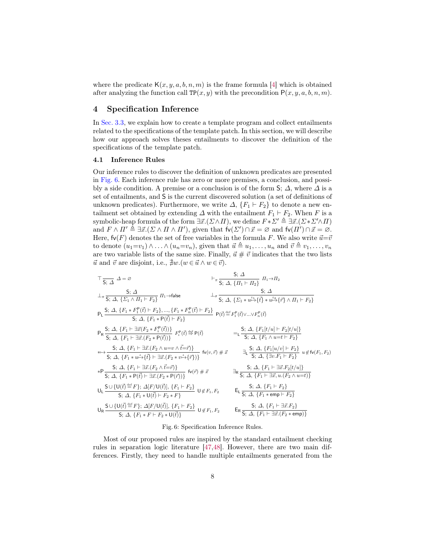where the predicate  $K(x, y, a, b, n, m)$  is the frame formula [\[4\]](#page-20-5) which is obtained after analyzing the function call  $TP(x, y)$  with the precondition  $P(x, y, a, b, n, m)$ .

## <span id="page-7-0"></span>4 Specification Inference

In [Sec. 3.3,](#page-6-0) we explain how to create a template program and collect entailments related to the specifications of the template patch. In this section, we will describe how our approach solves theses entailments to discover the definition of the specifications of the template patch.

#### <span id="page-7-2"></span>4.1 Inference Rules

Our inference rules to discover the definition of unknown predicates are presented in [Fig. 6.](#page-7-1) Each inference rule has zero or more premises, a conclusion, and possibly a side condition. A premise or a conclusion is of the form  $\mathsf{S}$ ;  $\Delta$ , where  $\Delta$  is a set of entailments, and S is the current discovered solution (a set of definitions of unknown predicates). Furthermore, we write  $\Delta$ ,  $\{F_1 \vdash F_2\}$  to denote a new entailment set obtained by extending  $\Delta$  with the entailment  $F_1 \vdash F_2$ . When F is a symbolic-heap formula of the form  $\exists \vec{x}.(\Sigma \wedge \Pi)$ , we define  $F * \Sigma' \triangleq \exists \vec{x}.(\Sigma * \Sigma' \wedge \Pi)$ and  $F \wedge \Pi' \triangleq \exists \vec{x}.(\Sigma \wedge \Pi \wedge \Pi')$ , given that  $f\nu(\Sigma') \cap \vec{x} = \varnothing$  and  $f\nu(\Pi') \cap \vec{x} = \varnothing$ . Here,  $f\nu(F)$  denotes the set of free variables in the formula F. We also write  $\vec{u}=\vec{v}$ to denote  $(u_1=v_1) \wedge \ldots \wedge (u_n=v_n)$ , given that  $\vec{u} \triangleq u_1, \ldots, u_n$  and  $\vec{v} \triangleq v_1, \ldots, v_n$ are two variable lists of the same size. Finally,  $\vec{u} \# \vec{v}$  indicates that the two lists  $\vec{u}$  and  $\vec{v}$  are disjoint, i.e.,  $\exists w.(w \in \vec{u} \land w \in \vec{v}).$ 

<span id="page-7-1"></span>
$$
\begin{array}{lll}\n\tau_{\frac{1}{3},\Delta} & \Delta = \emptyset & \qquad \vdots \quad \frac{1}{3},\Delta & \qquad \tau_{1} \rightarrow H_{2} \\
 & \frac{1}{3},\Delta & \frac{1}{3},\Delta & \frac{1}{3},\Delta & \frac{1}{3},\Delta & \frac{1}{3},\Delta & \frac{1}{3},\Delta \\
 & \frac{1}{3},\Delta & \frac{1}{3},\Delta & \frac{1}{3},\Delta & \frac{1}{3},\Delta & \frac{1}{3},\Delta & \frac{1}{3},\Delta \\
 & \frac{1}{3},\Delta & \frac{1}{3},\Delta & \frac{1}{3},\Delta & \frac{1}{3},\Delta & \frac{1}{3},\Delta & \frac{1}{3},\Delta \\
 & \frac{1}{3},\Delta & \frac{1}{3},\Delta & \frac{1}{3},\Delta & \frac{1}{3},\Delta & \frac{1}{3},\Delta & \frac{1}{3},\Delta \\
 & \frac{1}{3},\Delta & \frac{1}{3},\Delta & \frac{1}{3},\Delta & \frac{1}{3},\Delta & \frac{1}{3},\Delta \\
 & \frac{1}{3},\Delta & \frac{1}{3},\Delta & \frac{1}{3},\Delta & \frac{1}{3},\Delta \\
 & \frac{1}{3},\Delta & \frac{1}{3},\Delta & \frac{1}{3},\Delta & \frac{1}{3},\Delta \\
 & \frac{1}{3},\Delta & \frac{1}{3},\Delta & \frac{1}{3},\Delta & \frac{1}{3},\Delta \\
 & \frac{1}{3},\Delta & \frac{1}{3},\Delta & \frac{1}{3},\Delta & \frac{1}{3},\Delta \\
 & \frac{1}{3},\Delta & \frac{1}{3},\Delta & \frac{1}{3},\Delta & \frac{1}{3},\Delta \\
 & \frac{1}{3},\Delta & \frac{1}{3},\Delta & \frac{1}{3},\Delta & \frac{1}{3},\Delta \\
 & \frac{1}{3},\Delta & \frac{1}{3},\Delta & \frac{1}{3},\Delta & \frac{1}{3},\Delta \\
 & \frac{1}{3},\Delta & \frac{1}{3},\Delta & \frac{1}{3},\Delta & \frac{1}{3},\Delta \\
 & \frac{1}{3},\Delta & \frac{1}{3},\Delta & \frac{1}{3},\Delta & \frac{1}{3},\Delta \\
 & \frac{1}{3},\Delta & \frac{1}{3},\Delta & \frac{1}{3},\Delta & \frac
$$

#### Fig. 6: Specification Inference Rules.

Most of our proposed rules are inspired by the standard entailment checking rules in separation logic literature [\[47,](#page-23-5)[48\]](#page-23-6). However, there are two main differences. Firstly, they need to handle multiple entailments generated from the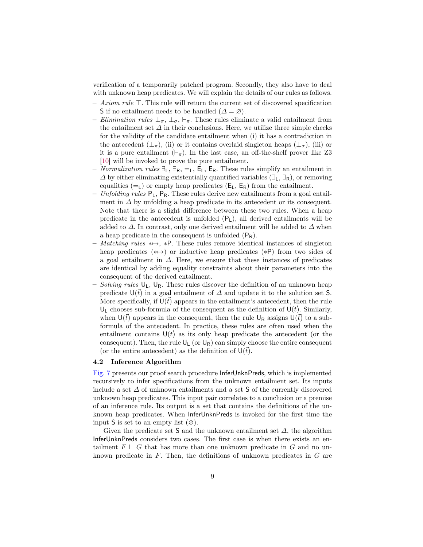verification of a temporarily patched program. Secondly, they also have to deal with unknown heap predicates. We will explain the details of our rules as follows.

- $-$  Axiom rule  $\top$ . This rule will return the current set of discovered specification S if no entailment needs to be handled  $(\Delta = \emptyset)$ .
- Elimination rules  $\perp_{\pi}$ ,  $\perp_{\sigma}$ ,  $\vdash_{\pi}$ . These rules eliminate a valid entailment from the entailment set  $\Delta$  in their conclusions. Here, we utilize three simple checks for the validity of the candidate entailment when (i) it has a contradiction in the antecedent  $(\perp_{\pi})$ , (ii) or it contains overlaid singleton heaps  $(\perp_{\sigma})$ , (iii) or it is a pure entailment  $(\vdash_{\pi})$ . In the last case, an off-the-shelf prover like Z3 [\[10\]](#page-20-6) will be invoked to prove the pure entailment.
- *Normalization rules*  $\exists_L$ ,  $\exists_R$ ,  $=$ <sub>L</sub>, **E**<sub>R</sub>. These rules simplify an entailment in  $\Delta$  by either eliminating existentially quantified variables ( $\exists_L$ ,  $\exists_R$ ), or removing equalities  $(=_L)$  or empty heap predicates  $(E_L, E_R)$  from the entailment.
- Unfolding rules  $P_L$ ,  $P_R$ . These rules derive new entailments from a goal entailment in  $\Delta$  by unfolding a heap predicate in its antecedent or its consequent. Note that there is a slight difference between these two rules. When a heap predicate in the antecedent is unfolded  $(P_L)$ , all derived entailments will be added to  $\Delta$ . In contrast, only one derived entailment will be added to  $\Delta$  when a heap predicate in the consequent is unfolded  $(P_R)$ .
- Matching rules  $*\mapsto$ ,  $*\mathsf{P}$ . These rules remove identical instances of singleton heap predicates  $(*\mapsto)$  or inductive heap predicates  $(*P)$  from two sides of a goal entailment in  $\Delta$ . Here, we ensure that these instances of predicates are identical by adding equality constraints about their parameters into the consequent of the derived entailment.
- Solving rules  $U_L$ ,  $U_R$ . These rules discover the definition of an unknown heap predicate  $U(\vec{t})$  in a goal entailment of  $\Delta$  and update it to the solution set S. More specifically, if  $U(\vec{t})$  appears in the entailment's antecedent, then the rule  $U_1$  chooses sub-formula of the consequent as the definition of  $U(\vec{t})$ . Similarly, when  $U(\vec{t})$  appears in the consequent, then the rule  $U_R$  assigns  $U(\vec{t})$  to a subformula of the antecedent. In practice, these rules are often used when the entailment contains  $U(\vec{t})$  as its only heap predicate the antecedent (or the consequent). Then, the rule  $U_L$  (or  $U_R$ ) can simply choose the entire consequent (or the entire antecedent) as the definition of  $U(\bar{t})$ .

#### <span id="page-8-0"></span>4.2 Inference Algorithm

[Fig. 7](#page-9-0) presents our proof search procedure InferUnknPreds, which is implemented recursively to infer specifications from the unknown entailment set. Its inputs include a set  $\Delta$  of unknown entailments and a set S of the currently discovered unknown heap predicates. This input pair correlates to a conclusion or a premise of an inference rule. Its output is a set that contains the definitions of the unknown heap predicates. When InferUnknPreds is invoked for the first time the input S is set to an empty list  $(\emptyset)$ .

Given the predicate set S and the unknown entailment set  $\Delta$ , the algorithm InferUnknPreds considers two cases. The first case is when there exists an entailment  $F \vdash G$  that has more than one unknown predicate in G and no unknown predicate in  $F$ . Then, the definitions of unknown predicates in  $G$  are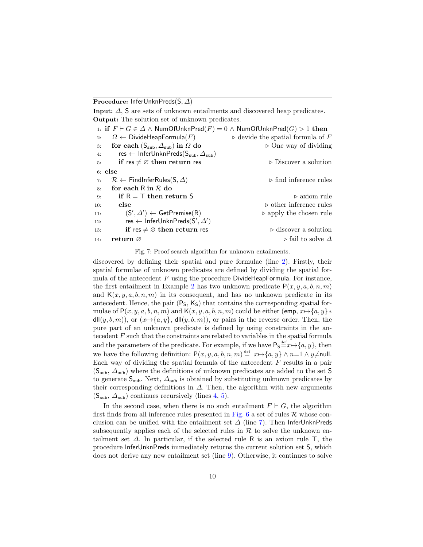<span id="page-9-0"></span>Procedure: InferUnknPreds(S, ∆)

Input:  $\Delta$ , S are sets of unknown entailments and discovered heap predicates. Output: The solution set of unknown predicates.

|     | 1: if $F \vdash G \in \Delta \wedge$ NumOfUnknPred $(F) = 0 \wedge$ NumOfUnknPred $(G) > 1$ then |                                                    |
|-----|--------------------------------------------------------------------------------------------------|----------------------------------------------------|
| 2:  | $\Omega \leftarrow$ DivideHeapFormula $(F)$                                                      | $\triangleright$ devide the spatial formula of $F$ |
| 3:  | for each $(S_{sub}, \Delta_{sub})$ in $\Omega$ do                                                | $\triangleright$ One way of dividing               |
| 4:  | res $\leftarrow$ InferUnknPreds( $S_{sub}, \Delta_{sub}$ )                                       |                                                    |
| 5:  | if res $\neq \emptyset$ then return res                                                          | $\triangleright$ Discover a solution               |
|     | $6:$ else                                                                                        |                                                    |
| 7:  | $\mathcal{R} \leftarrow$ FindInferRules(S, $\Delta$ )                                            | $\triangleright$ find inference rules              |
| 8:  | for each R in $R$ do                                                                             |                                                    |
| 9:  | if $R = T$ then return S                                                                         | $\triangleright$ axiom rule                        |
| 10: | else                                                                                             | $\triangleright$ other inference rules             |
| 11: | $(S', \Delta') \leftarrow \mathsf{GetPremise}(R)$                                                | $\triangleright$ apply the chosen rule             |
| 12: | $res \leftarrow InferUnknownPreds(S', \Delta')$                                                  |                                                    |
| 13: | if res $\neq \emptyset$ then return res                                                          | $\triangleright$ discover a solution               |
| 14: | return $\varnothing$                                                                             | $\triangleright$ fail to solve $\Delta$            |
|     |                                                                                                  |                                                    |

Fig. 7: Proof search algorithm for unknown entailments.

discovered by defining their spatial and pure formulae (line [2\)](#page-9-0). Firstly, their spatial formulae of unknown predicates are defined by dividing the spatial formula of the antecedent  $F$  using the procedure DivideHeapFormula. For instance, the first entailment in Example [2](#page-6-2) has two unknown predicate  $P(x, y, a, b, n, m)$ and  $K(x, y, a, b, n, m)$  in its consequent, and has no unknown predicate in its antecedent. Hence, the pair  $(P_S, K_S)$  that contains the corresponding spatial formulae of  $P(x, y, a, b, n, m)$  and  $K(x, y, a, b, n, m)$  could be either (emp,  $x \mapsto \{a, y\} *$  $\text{dll}(y, b, m)$ , or  $(x \mapsto \{a, y\}, \text{dll}(y, b, m))$ , or pairs in the reverse order. Then, the pure part of an unknown predicate is defined by using constraints in the antecedent F such that the constraints are related to variables in the spatial formula and the parameters of the predicate. For example, if we have  $\mathsf{P}_{\mathsf{S}}^{\text{def}}\mathcal{Z}\mapsto\{a,y\}$ , then we have the following definition:  $P(x, y, a, b, n, m) \stackrel{\text{def}}{=} x \mapsto \{a, y\} \wedge n = 1 \wedge y \neq \text{null}.$ Each way of dividing the spatial formula of the antecedent  $F$  results in a pair  $(S_{sub}, \Delta_{sub})$  where the definitions of unknown predicates are added to the set S to generate  $S_{sub}$ . Next,  $\Delta_{sub}$  is obtained by substituting unknown predicates by their corresponding definitions in  $\Delta$ . Then, the algorithm with new arguments  $(S_{sub}, \Delta_{sub})$  continues recursively (lines [4,](#page-9-0) [5\)](#page-9-0).

In the second case, when there is no such entailment  $F \vdash G$ , the algorithm first finds from all inference rules presented in Fig.  $6$  a set of rules  $R$  whose conclusion can be unified with the entailment set  $\Delta$  (line [7\)](#page-9-0). Then InferUnknPreds subsequently applies each of the selected rules in  $R$  to solve the unknown entailment set  $\Delta$ . In particular, if the selected rule R is an axiom rule  $\top$ , the procedure InferUnknPreds immediately returns the current solution set S, which does not derive any new entailment set (line [9\)](#page-9-0). Otherwise, it continues to solve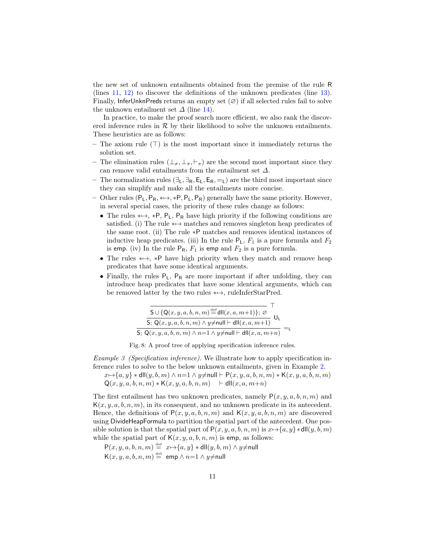the new set of unknown entailments obtained from the premise of the rule R (lines [11,](#page-9-0) [12\)](#page-9-0) to discover the definitions of the unknown predicates (line [13\)](#page-9-0). Finally, InferUnknPreds returns an empty set (∅) if all selected rules fail to solve the unknown entailment set  $\Delta$  (line [14\)](#page-9-0).

In practice, to make the proof search more efficient, we also rank the discovered inference rules in  $R$  by their likelihood to solve the unknown entailments. These heuristics are as follows:

- The axiom rule  $(\top)$  is the most important since it immediately returns the solution set.
- The elimination rules  $(\perp_{\sigma}, \perp_{\pi}, \vdash_{\pi})$  are the second most important since they can remove valid entailments from the entailment set  $\Delta$ .
- The normalization rules  $(\exists_L, \exists_R, E_L, E_R, =_L)$  are the third most important since they can simplify and make all the entailments more concise.
- Other rules  $(P_L, P_R, \ast \mapsto, *P, P_L, P_R)$  generally have the same priority. However, in several special cases, the priority of these rules change as follows:
	- The rules  $*\mapsto$ ,  $*\mathsf{P}, \mathsf{P}_\mathsf{L}, \mathsf{P}_\mathsf{R}$  have high priority if the following conditions are satisfied. (i) The rule  $*\mapsto$  matches and removes singleton heap predicates of the same root. (ii) The rule ∗P matches and removes identical instances of inductive heap predicates. (iii) In the rule  $P_1$ ,  $F_1$  is a pure formula and  $F_2$ is emp. (iv) In the rule  $P_R$ ,  $F_1$  is emp and  $F_2$  is a pure formula.
	- The rules  $*\mapsto$ ,  $*\mathsf{P}$  have high priority when they match and remove heap predicates that have some identical arguments.
	- Finally, the rules  $P_L$ ,  $P_R$  are more important if after unfolding, they can introduce heap predicates that have some identical arguments, which can be removed latter by the two rules \*→, ruleInferStarPred.

<span id="page-10-0"></span>

| $\frac{\mathsf{S}\cup\{\mathsf{Q}(x,y,a,b,n,m)\mathop=\limits^{def}\mathsf{dll}(x,a,m+1)\};\,\varnothing}{\mathsf{S};\,\mathsf{Q}(x,y,a,b,n,m)\wedge y\neq \mathsf{null}\vdash \mathsf{dll}(x,a,m+1)}$ |
|--------------------------------------------------------------------------------------------------------------------------------------------------------------------------------------------------------|
|                                                                                                                                                                                                        |
| $\overline{S; Q(x, y, a, b, n, m) \wedge n}$ $\geq 1 \wedge y \neq \text{null}$ $\vdash$ dll $(x, a, m+n)$                                                                                             |

Fig. 8: A proof tree of applying specification inference rules.

<span id="page-10-1"></span>Example 3 (Specification inference). We illustrate how to apply specification inference rules to solve to the below unknown entailments, given in Example [2.](#page-6-2)

 $x \mapsto \{a, y\} *$  dll $(y, b, m) \wedge n=1 \wedge y \neq \text{null} \vdash P(x, y, a, b, n, m) * K(x, y, a, b, n, m)$  $Q(x, y, a, b, n, m) * K(x, y, a, b, n, m) \quad \vdash \text{dll}(x, a, m+n)$ 

The first entailment has two unknown predicates, namely  $P(x, y, a, b, n, m)$  and  $K(x, y, a, b, n, m)$ , in its consequent, and no unknown predicate in its antecedent. Hence, the definitions of  $P(x, y, a, b, n, m)$  and  $\mathsf{K}(x, y, a, b, n, m)$  are discovered using DivideHeapFormula to partition the spatial part of the antecedent. One possible solution is that the spatial part of  $P(x, y, a, b, n, m)$  is  $x \mapsto \{a, y\} * d\mathsf{II}(y, b, m)$ while the spatial part of  $K(x, y, a, b, n, m)$  is emp, as follows:

 $P(x, y, a, b, n, m) \stackrel{\text{def}}{=} x \mapsto \{a, y\} * \mathsf{dll}(y, b, m) \wedge y \neq \mathsf{null}$  $K(x, y, a, b, n, m) \stackrel{\text{def}}{=} \text{emp } \wedge n = 1 \wedge y \neq \text{null}$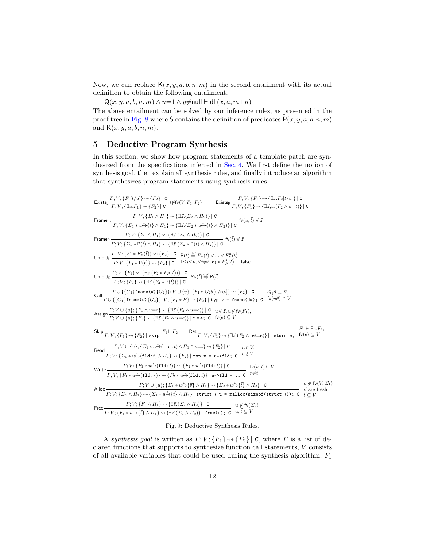Now, we can replace  $\mathsf{K}(x, y, a, b, n, m)$  in the second entailment with its actual definition to obtain the following entailment.

 $Q(x, y, a, b, n, m) \wedge n=1 \wedge y\neq \text{null} \vdash \text{dll}(x, a, m+n)$ 

The above entailment can be solved by our inference rules, as presented in the proof tree in [Fig. 8](#page-10-0) where S contains the definition of predicates  $P(x, y, a, b, n, m)$ and  $K(x, y, a, b, n, m)$ .

# <span id="page-11-0"></span>5 Deductive Program Synthesis

In this section, we show how program statements of a template patch are synthesized from the specifications inferred in [Sec. 4.](#page-7-0) We first define the notion of synthesis goal, then explain all synthesis rules, and finally introduce an algorithm that synthesizes program statements using synthesis rules.

<span id="page-11-1"></span>E xists, 
$$
\frac{\Gamma; V; \{F_1[t/u]\}\leadsto\{F_2\}|\ C}{\Gamma; V; \{3u, F_1\}\leadsto\{F_2\}|\ C}
$$
 
$$
t \notin V(V, F_1, F_2)
$$
 E xists, 
$$
\frac{\Gamma; V; \{F_1\} \leadsto\{3z, F_2[t/u]\}|\ C}{\Gamma; V; \{F_1\} \leadsto\{5z, F_2\} \leadsto\{t\}\land\Pi_1\leadsto\{3z, F_2\} \leadsto\{t\}\land\Pi_2\leadsto\{3z, F_2\} \leadsto\{t\}\land\{t\}\land\{t\}\land\{t\}\land\{t\}\land\{t\}\land\{t\}\land\{t\}\land\{t\}\land\{t\}\land\{t\}\land\{t\}\land\{t\}\land\{t\}\land\{t\}\land\{t\}\land\{t\}\land\{t\}\land\{t\}\land\{t\}\land\{t\}\land\{t\}\land\{t\}\land\{t\}\land\{t\}\land\{t\}\land\{t\}\land\{t\}\land\{t\}\land\{t\}\land\{t\}\land\{t\}\land\{t\}\land\{t\}\land\{t\}\land\{t\}\land\{t\}\land\{t\}\land\{t\}\land\{t\}\land\{t\}\land\{t\}\land\{t\}\land\{t\}\land\{t\}\land\{t\}\land\{t\}\land\{t\}\land\{t\}\land\{t\}\land\{t\}\land\{t\}\land\{t\}\land\{t\}\land\{t\}\land\{t\}\land\{t\}\land\{t\}\land\{t\}\land\{t\}\land\{t\}\land\{t\}\land\{t\}\land\{t\}\land\{t\}\land\{t\}\land\{t\}\land\{t\}\land\{t\}\land\{t\}\land\{t\}\land\{t\}\land\{t\}\land\{t\}\land\{t\}\land\{t\}\land\{t\}\land\{t\}\land\{t\}\land\{t\}\land\{t\}\land\{t\}\land\{t\}\land\{t\}\land\{t\}\land\{t\}\land\{t\}\land\{t\}\land\{t\}\land\{t\}\land\{t\}\land\{t\}\land\{t\
$$

# Fig. 9: Deductive Synthesis Rules.

A synthesis goal is written as  $\Gamma; V; \{F_1\} \rightarrow \{F_2\} |$  C, where  $\Gamma$  is a list of declared functions that supports to synthesize function call statements, V consists of all available variables that could be used during the synthesis algorithm,  $F_1$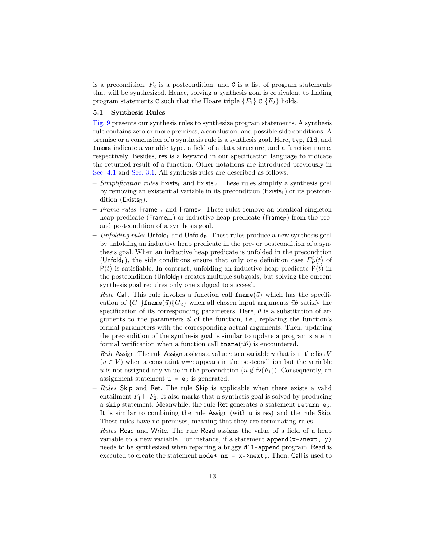is a precondition,  $F_2$  is a postcondition, and C is a list of program statements that will be synthesized. Hence, solving a synthesis goal is equivalent to finding program statements C such that the Hoare triple  ${F_1}$  C  ${F_2}$  holds.

#### <span id="page-12-0"></span>5.1 Synthesis Rules

[Fig. 9](#page-11-1) presents our synthesis rules to synthesize program statements. A synthesis rule contains zero or more premises, a conclusion, and possible side conditions. A premise or a conclusion of a synthesis rule is a synthesis goal. Here, typ, fld, and fname indicate a variable type, a field of a data structure, and a function name, respectively. Besides, res is a keyword in our specification language to indicate the returned result of a function. Other notations are introduced previously in [Sec. 4.1](#page-7-2) and [Sec. 3.1.](#page-4-0) All synthesis rules are described as follows.

- Simplification rules Exists<sub>R</sub> and Exists<sub>R</sub>. These rules simplify a synthesis goal by removing an existential variable in its precondition (Exists<sub>L</sub>) or its postcon $dition$  (Exists<sub>R</sub>).
- Frame rules Frame<sub>th</sub> and Frame<sub>P</sub>. These rules remove an identical singleton heap predicate (Frame<sub>n</sub>) or inductive heap predicate (Frame<sub>P</sub>) from the preand postcondition of a synthesis goal.
- Unfolding rules Unfold<sub>L</sub> and Unfold<sub>R</sub>. These rules produce a new synthesis goal by unfolding an inductive heap predicate in the pre- or postcondition of a synthesis goal. When an inductive heap predicate is unfolded in the precondition (Unfold<sub>L</sub>), the side conditions ensure that only one definition case  $F_P^i(\vec{t})$  of  $P(\vec{t})$  is satisfiable. In contrast, unfolding an inductive heap predicate  $P(\vec{t})$  in the postcondition ( $\text{Unfold}_R$ ) creates multiple subgoals, but solving the current synthesis goal requires only one subgoal to succeed.
- Rule Call. This rule invokes a function call frame  $(\vec{u})$  which has the specification of  ${G_1}$ fname $({\vec u}){G_2}$  when all chosen input arguments  ${\vec u}\theta$  satisfy the specification of its corresponding parameters. Here,  $\theta$  is a substitution of arguments to the parameters  $\vec{u}$  of the function, i.e., replacing the function's formal parameters with the corresponding actual arguments. Then, updating the precondition of the synthesis goal is similar to update a program state in formal verification when a function call  ${\tt frame}(\vec{u}\theta)$  is encountered.
- Rule Assign. The rule Assign assigns a value e to a variable u that is in the list V  $(u \in V)$  when a constraint  $u=e$  appears in the postcondition but the variable u is not assigned any value in the precondition ( $u \notin \mathsf{fv}(F_1)$ ). Consequently, an assignment statement  $u = e$ ; is generated.
- $-$  Rules Skip and Ret. The rule Skip is applicable when there exists a valid entailment  $F_1 \vdash F_2$ . It also marks that a synthesis goal is solved by producing a skip statement. Meanwhile, the rule Ret generates a statement return e;. It is similar to combining the rule Assign (with u is res) and the rule Skip. These rules have no premises, meaning that they are terminating rules.
- $-$  Rules Read and Write. The rule Read assigns the value of a field of a heap variable to a new variable. For instance, if a statement append(x- $>$ next, y) needs to be synthesized when repairing a buggy dll-append program, Read is executed to create the statement node\*  $nx = x$ ->next;. Then, Call is used to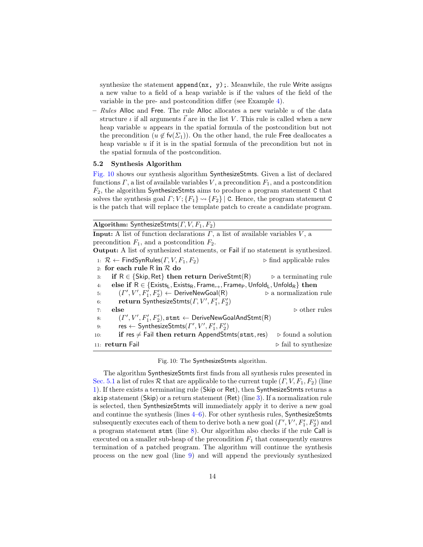synthesize the statement append( $nx$ , y);. Meanwhile, the rule Write assigns a new value to a field of a heap variable is if the values of the field of the variable in the pre- and postcondition differ (see Example [4\)](#page-14-1).

 $-$  Rules Alloc and Free. The rule Alloc allocates a new variable  $u$  of the data structure  $\iota$  if all arguments  $\vec{t}$  are in the list V. This rule is called when a new heap variable u appears in the spatial formula of the postcondition but not the precondition ( $u \notin \mathfrak{f}(\Sigma_1)$ ). On the other hand, the rule Free deallocates a heap variable  $u$  if it is in the spatial formula of the precondition but not in the spatial formula of the postcondition.

#### <span id="page-13-1"></span>5.2 Synthesis Algorithm

[Fig. 10](#page-13-0) shows our synthesis algorithm SynthesizeStmts. Given a list of declared functions  $\Gamma$ , a list of available variables  $V$ , a precondition  $F_1$ , and a postcondition  $F_2$ , the algorithm SynthesizeStmts aims to produce a program statement C that solves the synthesis goal  $\Gamma; V; \{F_1\} \rightarrow \{F_2\}$  C. Hence, the program statement C is the patch that will replace the template patch to create a candidate program.

#### <span id="page-13-0"></span>Algorithm: SynthesizeStmts $(\Gamma, V, F_1, F_2)$

**Input:** A list of function declarations  $\Gamma$ , a list of available variables  $V$ , a precondition  $F_1$ , and a postcondition  $F_2$ . Output: A list of synthesized statements, or Fail if no statement is synthesized. 1:  $\mathcal{R} \leftarrow$  FindSynRules( $\Gamma, V, F_1, F_2$ )  $\qquad \qquad \triangleright \text{ find applicable rules}$ 2: for each rule R in  $R$  do 3: if  $R \in \{ \text{skip}, \text{Ret} \}$  then return DeriveStmt(R)  $\triangleright$  a terminating rule 4: else if  $R \in \{Exists_L, Exists_R, Frame_{\mapsto}, Frame_P,Unfold_L,Unfold_R\}$  then 5:  $(\Gamma', V', F'_1, F'_2)$  $\triangleright$  a normalization rule 6: return SynthesizeStmts $(\Gamma, V', F_1', F_2')$ 7: else  $\triangleright$  other rules  $\mathcal{B}: \qquad (\Gamma', V', F_1', F_2'), \mathtt{stmt} \leftarrow \mathsf{DeriveNewGoalAndStmt(R)}$ 9: res  $\leftarrow$  SynthesizeStmts $(\Gamma', V', F_1', F_2')$ 10: if res  $\neq$  Fail then return AppendStmts(stmt, res)  $\triangleright$  found a solution 11:  $return$  Fail  $\rightarrow$  fail to synthesize

#### Fig. 10: The SynthesizeStmts algorithm.

The algorithm SynthesizeStmts first finds from all synthesis rules presented in [Sec. 5.1](#page-12-0) a list of rules R that are applicable to the current tuple  $(\Gamma, V, F_1, F_2)$  (line [1\)](#page-13-0). If there exists a terminating rule (Skip or Ret), then SynthesizeStmts returns a skip statement (Skip) or a return statement (Ret) (line [3\)](#page-13-0). If a normalization rule is selected, then SynthesizeStmts will immediately apply it to derive a new goal and continue the synthesis (lines [4–6\)](#page-13-0). For other synthesis rules, SynthesizeStmts subsequently executes each of them to derive both a new goal  $(\Gamma', V', F_1', F_2')$  and a program statement stmt (line [8\)](#page-13-0). Our algorithm also checks if the rule Call is executed on a smaller sub-heap of the precondition  $F_1$  that consequently ensures termination of a patched program. The algorithm will continue the synthesis process on the new goal (line [9\)](#page-13-0) and will append the previously synthesized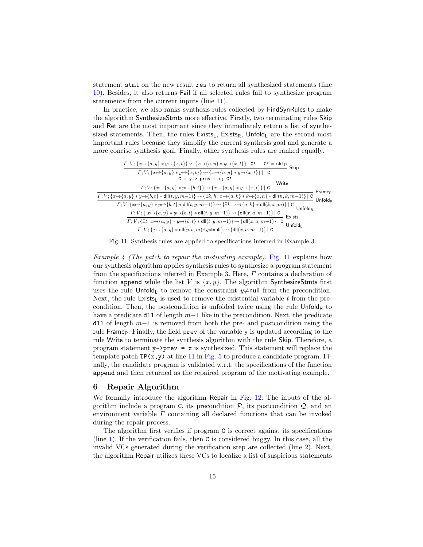statement stmt on the new result res to return all synthesized statements (line [10\)](#page-13-0). Besides, it also returns Fail if all selected rules fail to synthesize program statements from the current inputs (line [11\)](#page-13-0).

In practice, we also ranks synthesis rules collected by FindSynRules to make the algorithm SynthesizeStmts more effective. Firstly, two terminating rules Skip and Ret are the most important since they immediately return a list of synthesized statements. Then, the rules  $Exists<sub>L</sub>$ , Exists<sub>R</sub>, Unfold<sub>L</sub> are the second most important rules because they simplify the current synthesis goal and generate a more concise synthesis goal. Finally, other synthesis rules are ranked equally.

<span id="page-14-2"></span>

| $\Gamma: V: \{x \mapsto \{a, y\} * y \mapsto \{x, t\} \} \rightsquigarrow \{x \mapsto \{a, y\} * y \mapsto \{x, t\} \}$ C'<br>$C' = \frac{\text{skip}}{\text{skip}}$ Skip                                                                                                                                                                                                        |                     |
|----------------------------------------------------------------------------------------------------------------------------------------------------------------------------------------------------------------------------------------------------------------------------------------------------------------------------------------------------------------------------------|---------------------|
| $\Gamma; V; \{x \mapsto \{a, y\} * y \mapsto \{x, t\}\} \rightsquigarrow \{x \mapsto \{a, y\} * y \mapsto \{x, t\}\}\$ C                                                                                                                                                                                                                                                         |                     |
| $C = y-> prev = x; C'$<br>Write                                                                                                                                                                                                                                                                                                                                                  |                     |
| $\overline{I:V:\{x\mapsto\{a,y\}\ast y\mapsto\{b,t\}\}\rightsquigarrow \{x\mapsto\{a,y\}\ast y\mapsto\{x,t\}\}\mid \mathsf{C}}$                                                                                                                                                                                                                                                  | Frame <sub>p</sub>  |
| $\varGamma;V;\{x \mapsto \{a,y\}\ast y \mapsto \{b,t\}\ast\mathsf{dll}(t,y,m-1)\} \leadsto \{\exists k,h. \ x \mapsto \{a,k\}\ast k \mapsto \{x,h\}\ast\mathsf{dll}(h,k,m-1)\} \mid \mathsf{C}$                                                                                                                                                                                  | Unfold <sub>R</sub> |
| $\varGamma;V;\{x\mapsto\!\{a,y\}\ast y\mapsto\!\{b,t\}\ast\mathsf{dll}(t,y,m-1)\}\leadsto\{\exists k.\ x\mapsto\!\overline{\{a,k\}\ast\mathsf{dll}(k,x,m)\}\mid\mathsf{C}$<br>Unfold <sub>R</sub>                                                                                                                                                                                |                     |
| $\varGamma;V;\{\ x\!\mapsto\!\{a,y\}\ast y\!\mapsto\!\{b,t\}\ast\mathsf{dll}(t,y,m\!-\!1)\}\!\rightsquigarrow\!\{\mathsf{dll}(x,a,m\!+\!1)\} \mid \mathsf{C}$<br>Exists <sub>1</sub><br>$\varGamma;V;\{\exists t.\ x\mapsto\{a,y\}\ast y\mapsto\{b,t\}\ast\mathsf{d}\overline{\mathsf{l}(\overline{t},y,m-1)\}\leadsto\{\mathsf{d}\mathsf{l}\mathsf{l}(x,a,m+1)\}\mid\mathsf{C}$ |                     |
| Unfold <sub>1</sub><br>$\overline{\Gamma;V;\{x\mapsto\{a,y\}\ast\mathsf{dll}(y,b,m)\wedge y\neq \mathsf{null}\}}\rightsquigarrow \{\mathsf{dll}(x,a,m+1)\} \mid \mathsf{C}$                                                                                                                                                                                                      |                     |
|                                                                                                                                                                                                                                                                                                                                                                                  |                     |

Fig. 11: Synthesis rules are applied to specifications inferred in Example [3.](#page-10-1)

<span id="page-14-1"></span>Example 4 (The patch to repair the motivating example). [Fig. 11](#page-14-2) explains how our synthesis algorithm applies synthesis rules to synthesize a program statement from the specifications inferred in Example [3.](#page-10-1) Here, Γ contains a declaration of function append while the list V is  $\{x, y\}$ . The algorithm SynthesizeStmts first uses the rule Unfold<sub>L</sub> to remove the constraint  $y\neq$ null from the precondition. Next, the rule Exists, is used to remove the existential variable t from the precondition. Then, the postcondition is unfolded twice using the rule  $\mathsf{Unfold}_R$  to have a predicate dll of length  $m-1$  like in the precondition. Next, the predicate dll of length  $m-1$  is removed from both the pre- and postcondition using the rule  $Frame_P$ . Finally, the field prev of the variable y is updated according to the rule Write to terminate the synthesis algorithm with the rule Skip. Therefore, a program statement  $y$ ->prev = x is synthesized. This statement will replace the template patch  $TP(x,y)$  at line [11](#page-6-1) in [Fig. 5](#page-6-1) to produce a candidate program. Finally, the candidate program is validated w.r.t. the specifications of the function append and then returned as the repaired program of the motivating example.

# <span id="page-14-0"></span>6 Repair Algorithm

We formally introduce the algorithm Repair in [Fig. 12.](#page-15-0) The inputs of the algorithm include a program C, its precondition  $P$ , its postcondition  $Q$ , and an environment variable  $\Gamma$  containing all declared functions that can be invoked during the repair process.

The algorithm first verifies if program C is correct against its specifications (line [1\)](#page-15-0). If the verification fails, then C is considered buggy. In this case, all the invalid VCs generated during the verification step are collected (line [2\)](#page-15-0). Next, the algorithm Repair utilizes these VCs to localize a list of suspicious statements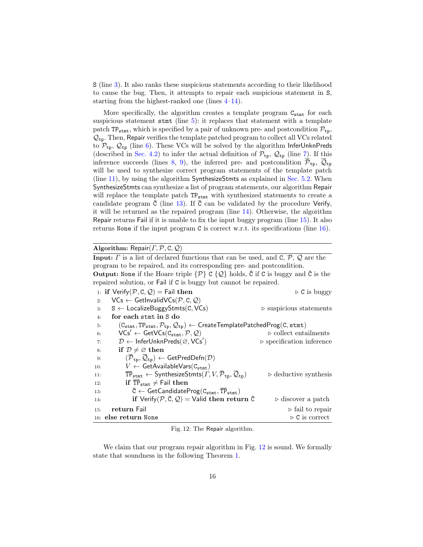S (line [3\)](#page-15-0). It also ranks these suspicious statements according to their likelihood to cause the bug. Then, it attempts to repair each suspicious statement in S, starting from the highest-ranked one (lines [4–14\)](#page-15-0).

More specifically, the algorithm creates a template program  $C_{\text{stmt}}$  for each suspicious statement stmt (line [5\)](#page-15-0): it replaces that statement with a template patch  $TP_{\text{stmt}}$ , which is specified by a pair of unknown pre- and postcondition  $P_{\text{tp}}$ ,  $\mathcal{Q}_{\text{to}}$ . Then, Repair verifies the template patched program to collect all VCs related to  $\mathcal{P}_{tp}$ ,  $\mathcal{Q}_{tp}$  (line [6\)](#page-15-0). These VCs will be solved by the algorithm InferUnknPreds (described in [Sec. 4.2\)](#page-8-0) to infer the actual definition of  $\mathcal{P}_{tp}$ ,  $\mathcal{Q}_{tp}$  (line [7\)](#page-15-0). If this inference succeeds (lines [8,](#page-15-0) [9\)](#page-15-0), the inferred pre- and postcondition  $\overline{\mathcal{P}}_{tp}$ ,  $\overline{\mathcal{Q}}_{tp}$ will be used to synthesize correct program statements of the template patch (line [11\)](#page-15-0), by using the algorithm SynthesizeStmts as explained in [Sec. 5.2.](#page-13-1) When SynthesizeStmts can synthesize a list of program statements, our algorithm Repair will replace the template patch  $TP_{\text{stmt}}$  with synthesized statements to create a candidate program  $\bar{c}$  (line [13\)](#page-15-0). If  $\bar{c}$  can be validated by the procedure Verify, it will be returned as the repaired program (line [14\)](#page-15-0). Otherwise, the algorithm Repair returns Fail if it is unable to fix the input buggy program (line [15\)](#page-15-0). It also returns None if the input program C is correct w.r.t. its specifications (line [16\)](#page-15-0).

# <span id="page-15-0"></span>Algorithm: Repair $(\Gamma, \mathcal{P}, \mathcal{C}, \mathcal{Q})$

**Input:**  $\Gamma$  is a list of declared functions that can be used, and  $\mathcal{C}, \mathcal{P}, \mathcal{Q}$  are the program to be repaired, and its corresponding pre- and postcondition. **Output:** None if the Hoare triple  $\{\mathcal{P}\}\subset \{\mathcal{Q}\}\$  holds,  $\overline{C}$  if C is buggy and  $\overline{C}$  is the repaired solution, or Fail if C is buggy but cannot be repaired.

|     | 1: if Verify $(\mathcal{P}, C, \mathcal{Q}) =$ Fail then                                                                                             | $\triangleright$ C is buggy              |
|-----|------------------------------------------------------------------------------------------------------------------------------------------------------|------------------------------------------|
| 2:  | $VCs \leftarrow \text{GetInvalidVCs}(\mathcal{P}, C, \mathcal{Q})$                                                                                   |                                          |
| 3:  | $S \leftarrow$ LocalizeBuggyStmts(C, VCs)                                                                                                            | $\triangleright$ suspicious statements   |
| 4:  | for each stmt in S do                                                                                                                                |                                          |
| 5:  | $(C_{\texttt{stmt}}, TP_{\texttt{stmt}}, \mathcal{P}_{\texttt{tp}}, \mathcal{Q}_{\texttt{tp}}) \leftarrow$ CreateTemplatePatchedProg(C, stmt)        |                                          |
| 6:  | $VCs' \leftarrow GetVCs(C_{\text{stmt}}, P, Q)$                                                                                                      | $\triangleright$ collect entailments     |
| 7:  | $\mathcal{D} \leftarrow$ InferUnknPreds( $\varnothing$ , VCs')                                                                                       | $\triangleright$ specification inference |
| 8:  | if $\mathcal{D} \neq \emptyset$ then                                                                                                                 |                                          |
| 9:  | $(\overline{\mathcal{P}}_{\texttt{to}}, \overline{\mathcal{Q}}_{\texttt{to}}) \leftarrow \textsf{GetPredDefn}(\mathcal{D})$                          |                                          |
| 10: | $V \leftarrow$ GetAvailableVars( $C_{\text{stmt}}$ )                                                                                                 |                                          |
| 11: | $\overline{\text{TP}}_{\text{stmt}} \leftarrow \text{SynthesizeStmts}(T, V, \overline{\mathcal{P}}_{\text{tp}}, \overline{\mathcal{Q}}_{\text{tp}})$ | $\triangleright$ deductive synthesis     |
| 12: | if $\overline{IP}_{\text{stmt}} \neq \text{Fall}$ then                                                                                               |                                          |
| 13: | $\overline{C} \leftarrow$ GetCandidateProg( $C_{\text{stmt}}, \overline{TP}_{\text{stmt}}$ )                                                         |                                          |
| 14: | if Verify $(\mathcal{P}, \bar{c}, \mathcal{Q})$ = Valid then return $\bar{c}$                                                                        | $\triangleright$ discover a patch        |
| 15: | return Fail                                                                                                                                          | $\triangleright$ fail to repair          |
|     | 16: else return None                                                                                                                                 | $\triangleright$ C is correct            |
|     |                                                                                                                                                      |                                          |

Fig. 12: The Repair algorithm.

<span id="page-15-1"></span>We claim that our program repair algorithm in Fig. [12](#page-15-0) is sound. We formally state that soundness in the following Theorem [1.](#page-15-1)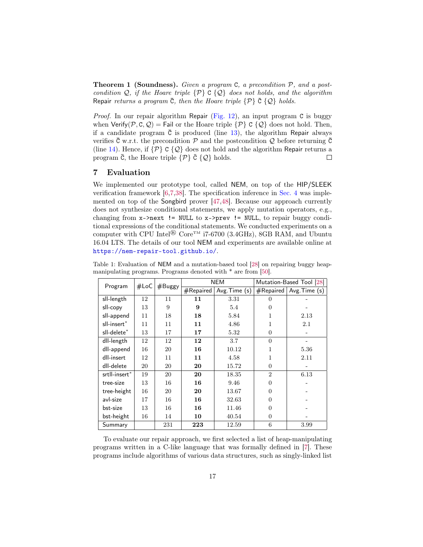**Theorem 1 (Soundness).** Given a program  $C$ , a precondition  $P$ , and a postcondition Q, if the Hoare triple  $\{P\} \subset \{Q\}$  does not holds, and the algorithm Repair returns a program  $\bar{c}$ , then the Hoare triple  $\{\mathcal{P}\}\bar{c} \{\mathcal{Q}\}\$  holds.

*Proof.* In our repair algorithm Repair [\(Fig. 12\)](#page-15-0), an input program C is buggy when Verify( $P, C, Q$ ) = Fail or the Hoare triple  $\{P\}$  C  $\{Q\}$  does not hold. Then, if a candidate program  $\bar{C}$  is produced (line [13\)](#page-15-0), the algorithm Repair always verifies  $\bar{C}$  w.r.t. the precondition  $\mathcal{P}$  and the postcondition  $\mathcal{Q}$  before returning  $\bar{C}$ (line [14\)](#page-15-0). Hence, if  $\{\mathcal{P}\}\subset\{\mathcal{Q}\}\}$  does not hold and the algorithm Repair returns a program  $\bar{C}$ , the Hoare triple  $\{\mathcal{P}\}\bar{C}\{\mathcal{Q}\}\$  holds.  $\Box$ 

# <span id="page-16-1"></span>7 Evaluation

We implemented our prototype tool, called NEM, on top of the HIP/SLEEK verification framework [\[6,](#page-20-7)[7](#page-20-2)[,38\]](#page-22-10). The specification inference in [Sec. 4](#page-7-0) was implemented on top of the Songbird prover [\[47](#page-23-5)[,48\]](#page-23-6). Because our approach currently does not synthesize conditional statements, we apply mutation operators, e.g., changing from x->next != NULL to x->prev != NULL, to repair buggy conditional expressions of the conditional statements. We conducted experiments on a computer with CPU Intel<sup>®</sup> Core<sup>TM</sup> i7-6700 (3.4GHz), 8GB RAM, and Ubuntu 16.04 LTS. The details of our tool NEM and experiments are available online at <https://nem-repair-tool.github.io/>.

<span id="page-16-0"></span>Table 1: Evaluation of NEM and a mutation-based tool [\[28\]](#page-21-2) on repairing buggy heapmanipulating programs. Programs denoted with \* are from [\[50\]](#page-23-3).

| Program       | #LoC | #Buggy | <b>NEM</b>   |             | Mutation-Based Tool [28] |              |  |
|---------------|------|--------|--------------|-------------|--------------------------|--------------|--|
|               |      |        | $#$ Repaired | Avg.Time(s) | $\#$ Repaired            | Avg.Time (s) |  |
| sll-length    | 12   | 11     | 11           | 3.31        | $\Omega$                 |              |  |
| sll-copy      | 13   | 9      | 9            | 5.4         | $\Omega$                 |              |  |
| sll-append    | 11   | 18     | 18           | 5.84        | 1                        | 2.13         |  |
| sll-insert*   | 11   | 11     | 11           | 4.86        | 1                        | 2.1          |  |
| sll-delete*   | 13   | 17     | 17           | 5.32        | $\overline{0}$           |              |  |
| dll-length    | 12   | 12     | 12           | 3.7         | $\theta$                 |              |  |
| dll-append    | 16   | 20     | 16           | 10.12       | 1                        | 5.36         |  |
| dll-insert    | 12   | 11     | 11           | 4.58        | 1                        | 2.11         |  |
| dll-delete    | 20   | 20     | 20           | 15.72       | $\overline{0}$           |              |  |
| srtll-insert* | 19   | 20     | 20           | 18.35       | $\overline{2}$           | 6.13         |  |
| tree-size     | 13   | 16     | 16           | 9.46        | $\Omega$                 |              |  |
| tree-height   | 16   | 20     | 20           | 13.67       | $\Omega$                 |              |  |
| avl-size      | 17   | 16     | 16           | 32.63       | $\theta$                 |              |  |
| bst-size      | 13   | 16     | 16           | 11.46       | $\theta$                 |              |  |
| bst-height    | 16   | 14     | 10           | 40.54       | $\theta$                 |              |  |
| Summary       |      | 231    | 223          | 12.59       | 6                        | 3.99         |  |

To evaluate our repair approach, we first selected a list of heap-manipulating programs written in a C-like language that was formally defined in [\[7\]](#page-20-2). These programs include algorithms of various data structures, such as singly-linked list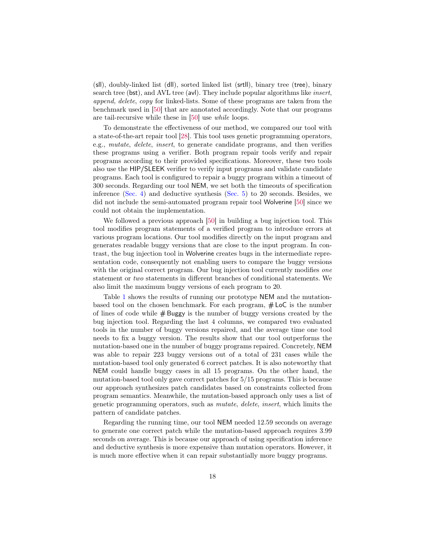(sll), doubly-linked list (dll), sorted linked list (srtll), binary tree (tree), binary search tree (bst), and AVL tree (av). They include popular algorithms like *insert*, append, delete, copy for linked-lists. Some of these programs are taken from the benchmark used in [\[50\]](#page-23-3) that are annotated accordingly. Note that our programs are tail-recursive while these in [\[50\]](#page-23-3) use while loops.

To demonstrate the effectiveness of our method, we compared our tool with a state-of-the-art repair tool [\[28\]](#page-21-2). This tool uses genetic programming operators, e.g., mutate, delete, insert, to generate candidate programs, and then verifies these programs using a verifier. Both program repair tools verify and repair programs according to their provided specifications. Moreover, these two tools also use the HIP/SLEEK verifier to verify input programs and validate candidate programs. Each tool is configured to repair a buggy program within a timeout of 300 seconds. Regarding our tool NEM, we set both the timeouts of specification inference [\(Sec. 4\)](#page-7-0) and deductive synthesis [\(Sec. 5\)](#page-11-0) to 20 seconds. Besides, we did not include the semi-automated program repair tool Wolverine [\[50\]](#page-23-3) since we could not obtain the implementation.

We followed a previous approach [\[50\]](#page-23-3) in building a bug injection tool. This tool modifies program statements of a verified program to introduce errors at various program locations. Our tool modifies directly on the input program and generates readable buggy versions that are close to the input program. In contrast, the bug injection tool in Wolverine creates bugs in the intermediate representation code, consequently not enabling users to compare the buggy versions with the original correct program. Our bug injection tool currently modifies *one* statement or two statements in different branches of conditional statements. We also limit the maximum buggy versions of each program to 20.

Table [1](#page-16-0) shows the results of running our prototype NEM and the mutationbased tool on the chosen benchmark. For each program, # LoC is the number of lines of code while  $#$  Buggy is the number of buggy versions created by the bug injection tool. Regarding the last 4 columns, we compared two evaluated tools in the number of buggy versions repaired, and the average time one tool needs to fix a buggy version. The results show that our tool outperforms the mutation-based one in the number of buggy programs repaired. Concretely, NEM was able to repair 223 buggy versions out of a total of 231 cases while the mutation-based tool only generated 6 correct patches. It is also noteworthy that NEM could handle buggy cases in all 15 programs. On the other hand, the mutation-based tool only gave correct patches for 5/15 programs. This is because our approach synthesizes patch candidates based on constraints collected from program semantics. Meanwhile, the mutation-based approach only uses a list of genetic programming operators, such as mutate, delete, insert, which limits the pattern of candidate patches.

Regarding the running time, our tool NEM needed 12.59 seconds on average to generate one correct patch while the mutation-based approach requires 3.99 seconds on average. This is because our approach of using specification inference and deductive synthesis is more expensive than mutation operators. However, it is much more effective when it can repair substantially more buggy programs.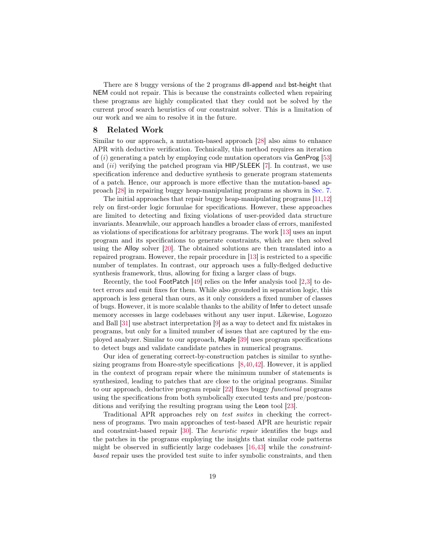There are 8 buggy versions of the 2 programs dll-append and bst-height that NEM could not repair. This is because the constraints collected when repairing these programs are highly complicated that they could not be solved by the current proof search heuristics of our constraint solver. This is a limitation of our work and we aim to resolve it in the future.

# 8 Related Work

Similar to our approach, a mutation-based approach [\[28\]](#page-21-2) also aims to enhance APR with deductive verification. Technically, this method requires an iteration of  $(i)$  generating a patch by employing code mutation operators via GenProg [\[53\]](#page-23-1) and  $(ii)$  verifying the patched program via  $HIP/SLEEK$  [\[7\]](#page-20-2). In contrast, we use specification inference and deductive synthesis to generate program statements of a patch. Hence, our approach is more effective than the mutation-based approach [\[28\]](#page-21-2) in repairing buggy heap-manipulating programs as shown in [Sec. 7.](#page-16-1)

The initial approaches that repair buggy heap-manipulating programs [\[11,](#page-20-8)[12\]](#page-21-7) rely on first-order logic formulae for specifications. However, these approaches are limited to detecting and fixing violations of user-provided data structure invariants. Meanwhile, our approach handles a broader class of errors, manifested as violations of specifications for arbitrary programs. The work [\[13\]](#page-21-8) uses an input program and its specifications to generate constraints, which are then solved using the Alloy solver [\[20\]](#page-21-9). The obtained solutions are then translated into a repaired program. However, the repair procedure in [\[13\]](#page-21-8) is restricted to a specific number of templates. In contrast, our approach uses a fully-fledged deductive synthesis framework, thus, allowing for fixing a larger class of bugs.

Recently, the tool FootPatch [\[49\]](#page-23-4) relies on the Infer analysis tool [\[2,](#page-20-0)[3\]](#page-20-1) to detect errors and emit fixes for them. While also grounded in separation logic, this approach is less general than ours, as it only considers a fixed number of classes of bugs. However, it is more scalable thanks to the ability of Infer to detect unsafe memory accesses in large codebases without any user input. Likewise, Logozzo and Ball [\[31\]](#page-22-11) use abstract interpretation [\[9\]](#page-20-9) as a way to detect and fix mistakes in programs, but only for a limited number of issues that are captured by the employed analyzer. Similar to our approach, Maple [\[39\]](#page-22-12) uses program specifications to detect bugs and validate candidate patches in numerical programs.

Our idea of generating correct-by-construction patches is similar to synthesizing programs from Hoare-style specifications [\[8,](#page-20-10)[40](#page-22-7)[,42\]](#page-22-8). However, it is applied in the context of program repair where the minimum number of statements is synthesized, leading to patches that are close to the original programs. Similar to our approach, deductive program repair [\[22\]](#page-21-10) fixes buggy functional programs using the specifications from both symbolically executed tests and pre/postconditions and verifying the resulting program using the Leon tool [\[23\]](#page-21-11).

Traditional APR approaches rely on test suites in checking the correctness of programs. Two main approaches of test-based APR are heuristic repair and constraint-based repair [\[30\]](#page-22-13). The heuristic repair identifies the bugs and the patches in the programs employing the insights that similar code patterns might be observed in sufficiently large codebases [\[16,](#page-21-12)[43\]](#page-22-14) while the constraintbased repair uses the provided test suite to infer symbolic constraints, and then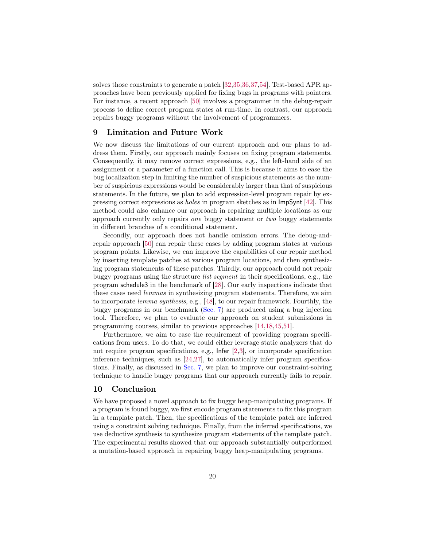solves those constraints to generate a patch [\[32,](#page-22-15)[35,](#page-22-2)[36,](#page-22-3)[37,](#page-22-4)[54\]](#page-23-7). Test-based APR approaches have been previously applied for fixing bugs in programs with pointers. For instance, a recent approach [\[50\]](#page-23-3) involves a programmer in the debug-repair process to define correct program states at run-time. In contrast, our approach repairs buggy programs without the involvement of programmers.

## 9 Limitation and Future Work

We now discuss the limitations of our current approach and our plans to address them. Firstly, our approach mainly focuses on fixing program statements. Consequently, it may remove correct expressions, e.g., the left-hand side of an assignment or a parameter of a function call. This is because it aims to ease the bug localization step in limiting the number of suspicious statements as the number of suspicious expressions would be considerably larger than that of suspicious statements. In the future, we plan to add expression-level program repair by expressing correct expressions as holes in program sketches as in ImpSynt [\[42\]](#page-22-8). This method could also enhance our approach in repairing multiple locations as our approach currently only repairs one buggy statement or two buggy statements in different branches of a conditional statement.

Secondly, our approach does not handle omission errors. The debug-andrepair approach [\[50\]](#page-23-3) can repair these cases by adding program states at various program points. Likewise, we can improve the capabilities of our repair method by inserting template patches at various program locations, and then synthesizing program statements of these patches. Thirdly, our approach could not repair buggy programs using the structure list segment in their specifications, e.g., the program schedule3 in the benchmark of [\[28\]](#page-21-2). Our early inspections indicate that these cases need lemmas in synthesizing program statements. Therefore, we aim to incorporate lemma synthesis, e.g., [\[48\]](#page-23-6), to our repair framework. Fourthly, the buggy programs in our benchmark [\(Sec. 7\)](#page-16-1) are produced using a bug injection tool. Therefore, we plan to evaluate our approach on student submissions in programming courses, similar to previous approaches [\[14,](#page-21-13)[18,](#page-21-14)[45](#page-22-16)[,51\]](#page-23-8).

Furthermore, we aim to ease the requirement of providing program specifications from users. To do that, we could either leverage static analyzers that do not require program specifications, e.g., Infer [\[2,](#page-20-0)[3\]](#page-20-1), or incorporate specification inference techniques, such as  $[24,27]$  $[24,27]$ , to automatically infer program specifications. Finally, as discussed in [Sec. 7,](#page-16-1) we plan to improve our constraint-solving technique to handle buggy programs that our approach currently fails to repair.

#### 10 Conclusion

We have proposed a novel approach to fix buggy heap-manipulating programs. If a program is found buggy, we first encode program statements to fix this program in a template patch. Then, the specifications of the template patch are inferred using a constraint solving technique. Finally, from the inferred specifications, we use deductive synthesis to synthesize program statements of the template patch. The experimental results showed that our approach substantially outperformed a mutation-based approach in repairing buggy heap-manipulating programs.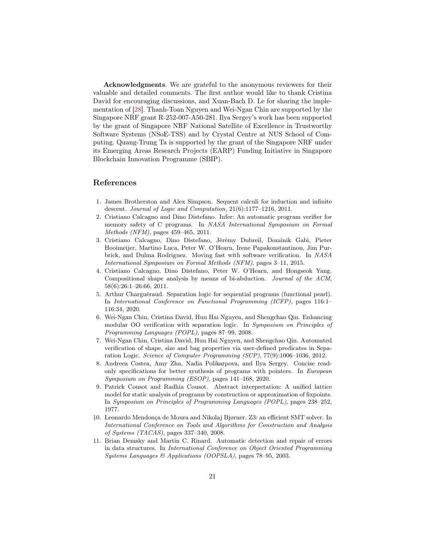Acknowledgments. We are grateful to the anonymous reviewers for their valuable and detailed comments. The first author would like to thank Cristina David for encouraging discussions, and Xuan-Bach D. Le for sharing the implementation of [\[28\]](#page-21-2). Thanh-Toan Nguyen and Wei-Ngan Chin are supported by the Singapore NRF grant R-252-007-A50-281. Ilya Sergey's work has been supported by the grant of Singapore NRF National Satellite of Excellence in Trustworthy Software Systems (NSoE-TSS) and by Crystal Centre at NUS School of Computing. Quang-Trung Ta is supported by the grant of the Singapore NRF under its Emerging Areas Research Projects (EARP) Funding Initiative in Singapore Blockchain Innovation Programme (SBIP).

# References

- <span id="page-20-3"></span>1. James Brotherston and Alex Simpson. Sequent calculi for induction and infinite descent. Journal of Logic and Computation, 21(6):1177–1216, 2011.
- <span id="page-20-0"></span>2. Cristiano Calcagno and Dino Distefano. Infer: An automatic program verifier for memory safety of C programs. In NASA International Symposium on Formal Methods (NFM), pages 459–465, 2011.
- <span id="page-20-1"></span>3. Cristiano Calcagno, Dino Distefano, Jérémy Dubreil, Dominik Gabi, Pieter Hooimeijer, Martino Luca, Peter W. O'Hearn, Irene Papakonstantinou, Jim Purbrick, and Dulma Rodriguez. Moving fast with software verification. In NASA International Symposium on Formal Methods (NFM), pages 3–11, 2015.
- <span id="page-20-5"></span>4. Cristiano Calcagno, Dino Distefano, Peter W. O'Hearn, and Hongseok Yang. Compositional shape analysis by means of bi-abduction. Journal of the ACM, 58(6):26:1–26:66, 2011.
- <span id="page-20-4"></span>5. Arthur Charguéraud. Separation logic for sequential programs (functional pearl). In International Conference on Functional Programming (ICFP), pages 116:1– 116:34, 2020.
- <span id="page-20-7"></span>6. Wei-Ngan Chin, Cristina David, Huu Hai Nguyen, and Shengchao Qin. Enhancing modular OO verification with separation logic. In Symposium on Principles of Programming Languages (POPL), pages 87–99, 2008.
- <span id="page-20-2"></span>7. Wei-Ngan Chin, Cristina David, Huu Hai Nguyen, and Shengchao Qin. Automated verification of shape, size and bag properties via user-defined predicates in Separation Logic. Science of Computer Programming (SCP), 77(9):1006–1036, 2012.
- <span id="page-20-10"></span>8. Andreea Costea, Amy Zhu, Nadia Polikarpova, and Ilya Sergey. Concise readonly specifications for better synthesis of programs with pointers. In European Symposium on Programming (ESOP), pages 141–168, 2020.
- <span id="page-20-9"></span>9. Patrick Cousot and Radhia Cousot. Abstract interpretation: A unified lattice model for static analysis of programs by construction or approximation of fixpoints. In Symposium on Principles of Programming Languages (POPL), pages 238–252, 1977.
- <span id="page-20-6"></span>10. Leonardo Mendonça de Moura and Nikolaj Bjørner. Z3: an efficient SMT solver. In International Conference on Tools and Algorithms for Construction and Analysis of Systems (TACAS), pages 337–340, 2008.
- <span id="page-20-8"></span>11. Brian Demsky and Martin C. Rinard. Automatic detection and repair of errors in data structures. In International Conference on Object Oriented Programming Systems Languages & Applications (OOPSLA), pages 78–95, 2003.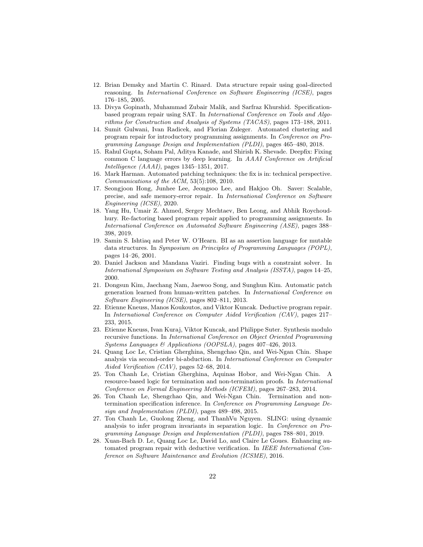- <span id="page-21-7"></span>12. Brian Demsky and Martin C. Rinard. Data structure repair using goal-directed reasoning. In International Conference on Software Engineering (ICSE), pages 176–185, 2005.
- <span id="page-21-8"></span>13. Divya Gopinath, Muhammad Zubair Malik, and Sarfraz Khurshid. Specificationbased program repair using SAT. In International Conference on Tools and Algorithms for Construction and Analysis of Systems (TACAS), pages 173–188, 2011.
- <span id="page-21-13"></span>14. Sumit Gulwani, Ivan Radicek, and Florian Zuleger. Automated clustering and program repair for introductory programming assignments. In Conference on Programming Language Design and Implementation (PLDI), pages 465–480, 2018.
- <span id="page-21-1"></span>15. Rahul Gupta, Soham Pal, Aditya Kanade, and Shirish K. Shevade. Deepfix: Fixing common C language errors by deep learning. In AAAI Conference on Artificial Intelligence (AAAI), pages 1345–1351, 2017.
- <span id="page-21-12"></span>16. Mark Harman. Automated patching techniques: the fix is in: technical perspective. Communications of the ACM, 53(5):108, 2010.
- <span id="page-21-3"></span>17. Seongjoon Hong, Junhee Lee, Jeongsoo Lee, and Hakjoo Oh. Saver: Scalable, precise, and safe memory-error repair. In International Conference on Software Engineering (ICSE), 2020.
- <span id="page-21-14"></span>18. Yang Hu, Umair Z. Ahmed, Sergey Mechtaev, Ben Leong, and Abhik Roychoudhury. Re-factoring based program repair applied to programming assignments. In International Conference on Automated Software Engineering (ASE), pages 388– 398, 2019.
- <span id="page-21-6"></span>19. Samin S. Ishtiaq and Peter W. O'Hearn. BI as an assertion language for mutable data structures. In Symposium on Principles of Programming Languages (POPL), pages 14–26, 2001.
- <span id="page-21-9"></span>20. Daniel Jackson and Mandana Vaziri. Finding bugs with a constraint solver. In International Symposium on Software Testing and Analysis (ISSTA), pages 14–25, 2000.
- <span id="page-21-0"></span>21. Dongsun Kim, Jaechang Nam, Jaewoo Song, and Sunghun Kim. Automatic patch generation learned from human-written patches. In International Conference on Software Engineering (ICSE), pages 802–811, 2013.
- <span id="page-21-10"></span>22. Etienne Kneuss, Manos Koukoutos, and Viktor Kuncak. Deductive program repair. In International Conference on Computer Aided Verification (CAV), pages 217– 233, 2015.
- <span id="page-21-11"></span>23. Etienne Kneuss, Ivan Kuraj, Viktor Kuncak, and Philippe Suter. Synthesis modulo recursive functions. In International Conference on Object Oriented Programming Systems Languages & Applications (OOPSLA), pages 407–426, 2013.
- <span id="page-21-15"></span>24. Quang Loc Le, Cristian Gherghina, Shengchao Qin, and Wei-Ngan Chin. Shape analysis via second-order bi-abduction. In International Conference on Computer Aided Verification (CAV), pages 52–68, 2014.
- <span id="page-21-4"></span>25. Ton Chanh Le, Cristian Gherghina, Aquinas Hobor, and Wei-Ngan Chin. A resource-based logic for termination and non-termination proofs. In International Conference on Formal Engineering Methods (ICFEM), pages 267–283, 2014.
- <span id="page-21-5"></span>26. Ton Chanh Le, Shengchao Qin, and Wei-Ngan Chin. Termination and nontermination specification inference. In Conference on Programming Language Design and Implementation (PLDI), pages 489–498, 2015.
- <span id="page-21-16"></span>27. Ton Chanh Le, Guolong Zheng, and ThanhVu Nguyen. SLING: using dynamic analysis to infer program invariants in separation logic. In Conference on Programming Language Design and Implementation (PLDI), pages 788–801, 2019.
- <span id="page-21-2"></span>28. Xuan-Bach D. Le, Quang Loc Le, David Lo, and Claire Le Goues. Enhancing automated program repair with deductive verification. In IEEE International Conference on Software Maintenance and Evolution (ICSME), 2016.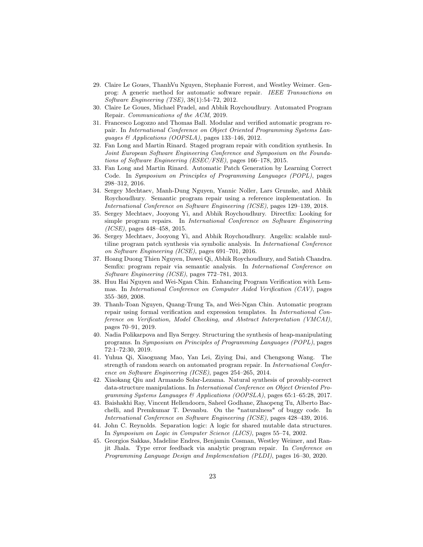- <span id="page-22-0"></span>29. Claire Le Goues, ThanhVu Nguyen, Stephanie Forrest, and Westley Weimer. Genprog: A generic method for automatic software repair. IEEE Transactions on Software Engineering (TSE), 38(1):54–72, 2012.
- <span id="page-22-13"></span>30. Claire Le Goues, Michael Pradel, and Abhik Roychoudhury. Automated Program Repair. Communications of the ACM, 2019.
- <span id="page-22-11"></span>31. Francesco Logozzo and Thomas Ball. Modular and verified automatic program repair. In International Conference on Object Oriented Programming Systems Lanquages  $\mathcal{B}$  Applications (OOPSLA), pages 133–146, 2012.
- <span id="page-22-15"></span>32. Fan Long and Martin Rinard. Staged program repair with condition synthesis. In Joint European Software Engineering Conference and Symposium on the Foundations of Software Engineering (ESEC/FSE), pages 166–178, 2015.
- <span id="page-22-6"></span>33. Fan Long and Martin Rinard. Automatic Patch Generation by Learning Correct Code. In Symposium on Principles of Programming Languages (POPL), pages 298–312, 2016.
- <span id="page-22-5"></span>34. Sergey Mechtaev, Manh-Dung Nguyen, Yannic Noller, Lars Grunske, and Abhik Roychoudhury. Semantic program repair using a reference implementation. In International Conference on Software Engineering (ICSE), pages 129–139, 2018.
- <span id="page-22-2"></span>35. Sergey Mechtaev, Jooyong Yi, and Abhik Roychoudhury. Directfix: Looking for simple program repairs. In International Conference on Software Engineering (ICSE), pages 448–458, 2015.
- <span id="page-22-3"></span>36. Sergey Mechtaev, Jooyong Yi, and Abhik Roychoudhury. Angelix: scalable multiline program patch synthesis via symbolic analysis. In International Conference on Software Engineering (ICSE), pages 691–701, 2016.
- <span id="page-22-4"></span>37. Hoang Duong Thien Nguyen, Dawei Qi, Abhik Roychoudhury, and Satish Chandra. Semfix: program repair via semantic analysis. In International Conference on Software Engineering (ICSE), pages 772–781, 2013.
- <span id="page-22-10"></span>38. Huu Hai Nguyen and Wei-Ngan Chin. Enhancing Program Verification with Lemmas. In International Conference on Computer Aided Verification (CAV), pages 355–369, 2008.
- <span id="page-22-12"></span>39. Thanh-Toan Nguyen, Quang-Trung Ta, and Wei-Ngan Chin. Automatic program repair using formal verification and expression templates. In International Conference on Verification, Model Checking, and Abstract Interpretation (VMCAI), pages 70–91, 2019.
- <span id="page-22-7"></span>40. Nadia Polikarpova and Ilya Sergey. Structuring the synthesis of heap-manipulating programs. In Symposium on Principles of Programming Languages (POPL), pages 72:1–72:30, 2019.
- <span id="page-22-1"></span>41. Yuhua Qi, Xiaoguang Mao, Yan Lei, Ziying Dai, and Chengsong Wang. The strength of random search on automated program repair. In International Conference on Software Engineering (ICSE), pages 254–265, 2014.
- <span id="page-22-8"></span>42. Xiaokang Qiu and Armando Solar-Lezama. Natural synthesis of provably-correct data-structure manipulations. In International Conference on Object Oriented Programming Systems Languages & Applications (OOPSLA), pages 65:1–65:28, 2017.
- <span id="page-22-14"></span>43. Baishakhi Ray, Vincent Hellendoorn, Saheel Godhane, Zhaopeng Tu, Alberto Bacchelli, and Premkumar T. Devanbu. On the "naturalness" of buggy code. In International Conference on Software Engineering (ICSE), pages 428–439, 2016.
- <span id="page-22-9"></span>44. John C. Reynolds. Separation logic: A logic for shared mutable data structures. In Symposium on Logic in Computer Science (LICS), pages 55–74, 2002.
- <span id="page-22-16"></span>45. Georgios Sakkas, Madeline Endres, Benjamin Cosman, Westley Weimer, and Ranjit Jhala. Type error feedback via analytic program repair. In Conference on Programming Language Design and Implementation (PLDI), pages 16–30, 2020.